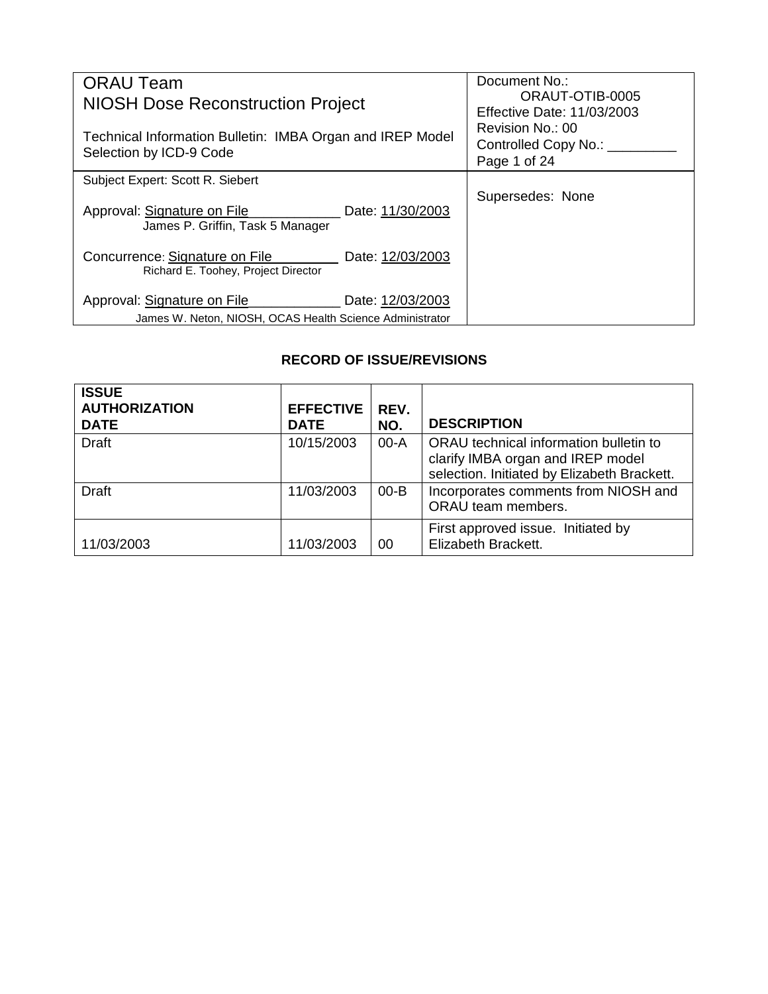| <b>ORAU Team</b>                                                                     |                  | Document No.:                                                |
|--------------------------------------------------------------------------------------|------------------|--------------------------------------------------------------|
| <b>NIOSH Dose Reconstruction Project</b>                                             |                  | ORAUT-OTIB-0005<br><b>Effective Date: 11/03/2003</b>         |
| Technical Information Bulletin: IMBA Organ and IREP Model<br>Selection by ICD-9 Code |                  | Revision No.: 00<br>Controlled Copy No.: ___<br>Page 1 of 24 |
| Subject Expert: Scott R. Siebert                                                     |                  |                                                              |
| Approval: Signature on File<br>James P. Griffin, Task 5 Manager                      | Date: 11/30/2003 | Supersedes: None                                             |
| Concurrence: Signature on File _______<br>Richard E. Toohey, Project Director        | Date: 12/03/2003 |                                                              |
| Approval: Signature on File                                                          | Date: 12/03/2003 |                                                              |
| James W. Neton, NIOSH, OCAS Health Science Administrator                             |                  |                                                              |

# **RECORD OF ISSUE/REVISIONS**

| <b>ISSUE</b><br><b>AUTHORIZATION</b><br><b>DATE</b> | <b>EFFECTIVE</b><br><b>DATE</b> | REV.<br>NO. | <b>DESCRIPTION</b>                                                                                                         |
|-----------------------------------------------------|---------------------------------|-------------|----------------------------------------------------------------------------------------------------------------------------|
| <b>Draft</b>                                        | 10/15/2003                      | $00-A$      | ORAU technical information bulletin to<br>clarify IMBA organ and IREP model<br>selection. Initiated by Elizabeth Brackett. |
| <b>Draft</b>                                        | 11/03/2003                      | $00 - B$    | Incorporates comments from NIOSH and<br>ORAU team members.                                                                 |
| 11/03/2003                                          | 11/03/2003                      | 00          | First approved issue. Initiated by<br>Elizabeth Brackett.                                                                  |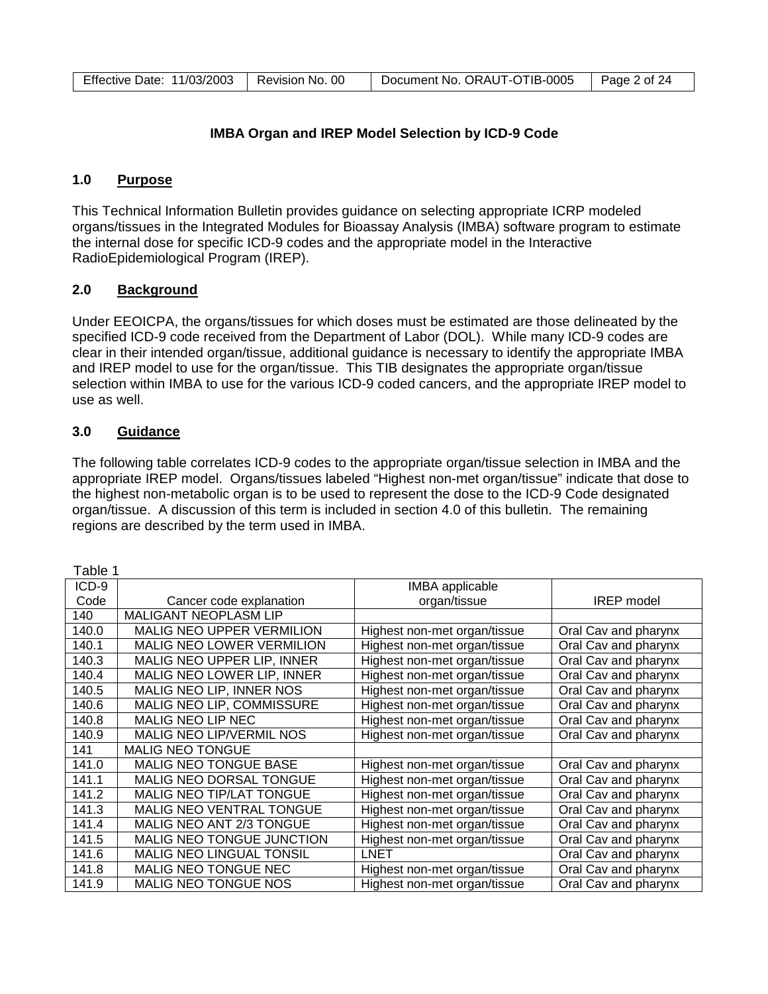| Document No. ORAUT-OTIB-0005<br>Effective Date: 11/03/2003  <br>Page 2 of 24<br>Revision No. 00 |  |
|-------------------------------------------------------------------------------------------------|--|
|-------------------------------------------------------------------------------------------------|--|

### **IMBA Organ and IREP Model Selection by ICD-9 Code**

### **1.0 Purpose**

This Technical Information Bulletin provides guidance on selecting appropriate ICRP modeled organs/tissues in the Integrated Modules for Bioassay Analysis (IMBA) software program to estimate the internal dose for specific ICD-9 codes and the appropriate model in the Interactive RadioEpidemiological Program (IREP).

### **2.0 Background**

Under EEOICPA, the organs/tissues for which doses must be estimated are those delineated by the specified ICD-9 code received from the Department of Labor (DOL). While many ICD-9 codes are clear in their intended organ/tissue, additional guidance is necessary to identify the appropriate IMBA and IREP model to use for the organ/tissue. This TIB designates the appropriate organ/tissue selection within IMBA to use for the various ICD-9 coded cancers, and the appropriate IREP model to use as well.

### **3.0 Guidance**

The following table correlates ICD-9 codes to the appropriate organ/tissue selection in IMBA and the appropriate IREP model. Organs/tissues labeled "Highest non-met organ/tissue" indicate that dose to the highest non-metabolic organ is to be used to represent the dose to the ICD-9 Code designated organ/tissue. A discussion of this term is included in section 4.0 of this bulletin. The remaining regions are described by the term used in IMBA.

| Table 1 |                                  |                              |                      |
|---------|----------------------------------|------------------------------|----------------------|
| ICD-9   |                                  | <b>IMBA</b> applicable       |                      |
| Code    | Cancer code explanation          | organ/tissue                 | <b>IREP</b> model    |
| 140     | <b>MALIGANT NEOPLASM LIP</b>     |                              |                      |
| 140.0   | <b>MALIG NEO UPPER VERMILION</b> | Highest non-met organ/tissue | Oral Cav and pharynx |
| 140.1   | MALIG NEO LOWER VERMILION        | Highest non-met organ/tissue | Oral Cav and pharynx |
| 140.3   | MALIG NEO UPPER LIP, INNER       | Highest non-met organ/tissue | Oral Cav and pharynx |
| 140.4   | MALIG NEO LOWER LIP, INNER       | Highest non-met organ/tissue | Oral Cav and pharynx |
| 140.5   | MALIG NEO LIP, INNER NOS         | Highest non-met organ/tissue | Oral Cav and pharynx |
| 140.6   | MALIG NEO LIP, COMMISSURE        | Highest non-met organ/tissue | Oral Cav and pharynx |
| 140.8   | <b>MALIG NEO LIP NEC</b>         | Highest non-met organ/tissue | Oral Cav and pharynx |
| 140.9   | MALIG NEO LIP/VERMIL NOS         | Highest non-met organ/tissue | Oral Cav and pharynx |
| 141     | <b>MALIG NEO TONGUE</b>          |                              |                      |
| 141.0   | <b>MALIG NEO TONGUE BASE</b>     | Highest non-met organ/tissue | Oral Cav and pharynx |
| 141.1   | MALIG NEO DORSAL TONGUE          | Highest non-met organ/tissue | Oral Cav and pharynx |
| 141.2   | <b>MALIG NEO TIP/LAT TONGUE</b>  | Highest non-met organ/tissue | Oral Cav and pharynx |
| 141.3   | <b>MALIG NEO VENTRAL TONGUE</b>  | Highest non-met organ/tissue | Oral Cav and pharynx |
| 141.4   | MALIG NEO ANT 2/3 TONGUE         | Highest non-met organ/tissue | Oral Cav and pharynx |
| 141.5   | MALIG NEO TONGUE JUNCTION        | Highest non-met organ/tissue | Oral Cav and pharynx |
| 141.6   | <b>MALIG NEO LINGUAL TONSIL</b>  | LNET                         | Oral Cav and pharynx |
| 141.8   | MALIG NEO TONGUE NEC             | Highest non-met organ/tissue | Oral Cav and pharynx |
| 141.9   | <b>MALIG NEO TONGUE NOS</b>      | Highest non-met organ/tissue | Oral Cav and pharynx |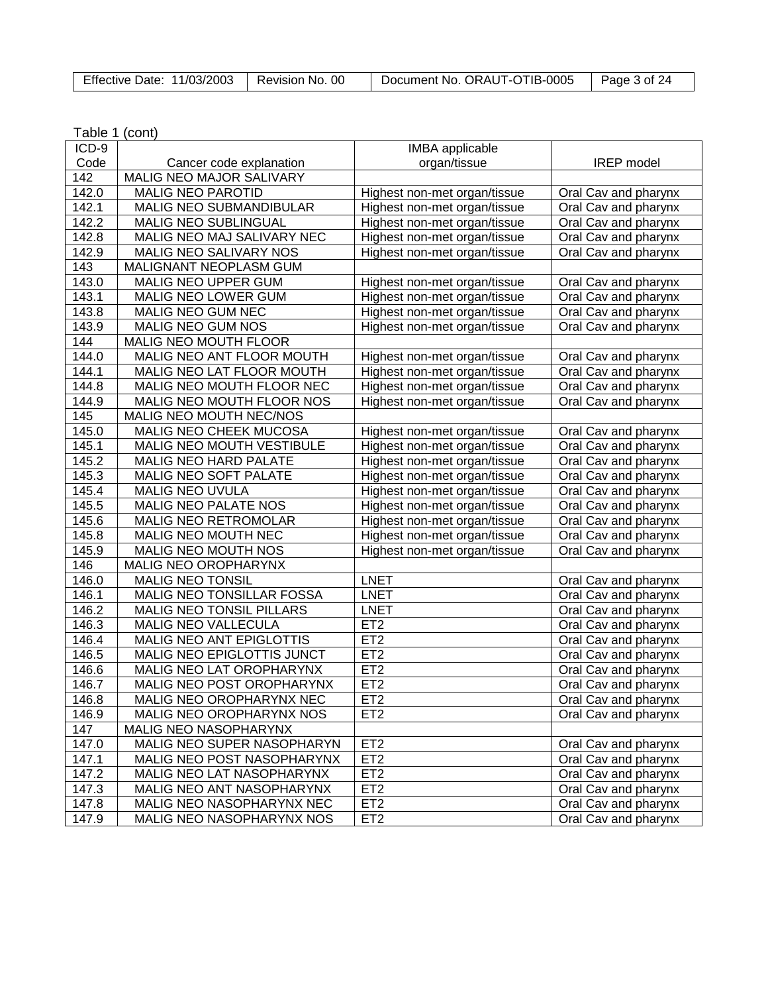| Effective Date: 11/03/2003   Revision No. 00 |  | Document No. ORAUT-OTIB-0005 | Page 3 of 24 |
|----------------------------------------------|--|------------------------------|--------------|
|----------------------------------------------|--|------------------------------|--------------|

٦

| Table 1 (cont) |  |
|----------------|--|
|----------------|--|

| ICD-9 |                            | <b>IMBA</b> applicable       |                      |
|-------|----------------------------|------------------------------|----------------------|
| Code  | Cancer code explanation    | organ/tissue                 | <b>IREP</b> model    |
| 142   | MALIG NEO MAJOR SALIVARY   |                              |                      |
| 142.0 | <b>MALIG NEO PAROTID</b>   | Highest non-met organ/tissue | Oral Cav and pharynx |
| 142.1 | MALIG NEO SUBMANDIBULAR    | Highest non-met organ/tissue | Oral Cav and pharynx |
| 142.2 | MALIG NEO SUBLINGUAL       | Highest non-met organ/tissue | Oral Cav and pharynx |
| 142.8 | MALIG NEO MAJ SALIVARY NEC | Highest non-met organ/tissue | Oral Cav and pharynx |
| 142.9 | MALIG NEO SALIVARY NOS     | Highest non-met organ/tissue | Oral Cav and pharynx |
| 143   | MALIGNANT NEOPLASM GUM     |                              |                      |
| 143.0 | MALIG NEO UPPER GUM        | Highest non-met organ/tissue | Oral Cav and pharynx |
| 143.1 | MALIG NEO LOWER GUM        | Highest non-met organ/tissue | Oral Cav and pharynx |
| 143.8 | MALIG NEO GUM NEC          | Highest non-met organ/tissue | Oral Cav and pharynx |
| 143.9 | MALIG NEO GUM NOS          | Highest non-met organ/tissue | Oral Cav and pharynx |
| 144   | MALIG NEO MOUTH FLOOR      |                              |                      |
| 144.0 | MALIG NEO ANT FLOOR MOUTH  | Highest non-met organ/tissue | Oral Cav and pharynx |
| 144.1 | MALIG NEO LAT FLOOR MOUTH  | Highest non-met organ/tissue | Oral Cav and pharynx |
| 144.8 | MALIG NEO MOUTH FLOOR NEC  | Highest non-met organ/tissue | Oral Cav and pharynx |
| 144.9 | MALIG NEO MOUTH FLOOR NOS  | Highest non-met organ/tissue | Oral Cav and pharynx |
| 145   | MALIG NEO MOUTH NEC/NOS    |                              |                      |
| 145.0 | MALIG NEO CHEEK MUCOSA     | Highest non-met organ/tissue | Oral Cav and pharynx |
| 145.1 | MALIG NEO MOUTH VESTIBULE  | Highest non-met organ/tissue | Oral Cav and pharynx |
| 145.2 | MALIG NEO HARD PALATE      | Highest non-met organ/tissue | Oral Cav and pharynx |
| 145.3 | MALIG NEO SOFT PALATE      | Highest non-met organ/tissue | Oral Cav and pharynx |
| 145.4 | MALIG NEO UVULA            | Highest non-met organ/tissue | Oral Cav and pharynx |
| 145.5 | MALIG NEO PALATE NOS       | Highest non-met organ/tissue | Oral Cav and pharynx |
| 145.6 | MALIG NEO RETROMOLAR       | Highest non-met organ/tissue | Oral Cav and pharynx |
| 145.8 | MALIG NEO MOUTH NEC        | Highest non-met organ/tissue | Oral Cav and pharynx |
| 145.9 | MALIG NEO MOUTH NOS        | Highest non-met organ/tissue | Oral Cav and pharynx |
| 146   | MALIG NEO OROPHARYNX       |                              |                      |
| 146.0 | <b>MALIG NEO TONSIL</b>    | <b>LNET</b>                  | Oral Cav and pharynx |
| 146.1 | MALIG NEO TONSILLAR FOSSA  | <b>LNET</b>                  | Oral Cav and pharynx |
| 146.2 | MALIG NEO TONSIL PILLARS   | <b>LNET</b>                  | Oral Cav and pharynx |
| 146.3 | MALIG NEO VALLECULA        | ET <sub>2</sub>              | Oral Cav and pharynx |
| 146.4 | MALIG NEO ANT EPIGLOTTIS   | ET <sub>2</sub>              | Oral Cav and pharynx |
| 146.5 | MALIG NEO EPIGLOTTIS JUNCT | ET <sub>2</sub>              | Oral Cav and pharynx |
| 146.6 | MALIG NEO LAT OROPHARYNX   | ET <sub>2</sub>              | Oral Cav and pharynx |
| 146.7 | MALIG NEO POST OROPHARYNX  | ET <sub>2</sub>              | Oral Cav and pharynx |
| 146.8 | MALIG NEO OROPHARYNX NEC   | ET <sub>2</sub>              | Oral Cav and pharynx |
| 146.9 | MALIG NEO OROPHARYNX NOS   | ET <sub>2</sub>              | Oral Cav and pharynx |
| 147   | MALIG NEO NASOPHARYNX      |                              |                      |
| 147.0 | MALIG NEO SUPER NASOPHARYN | ET <sub>2</sub>              | Oral Cav and pharynx |
| 147.1 | MALIG NEO POST NASOPHARYNX | ET <sub>2</sub>              | Oral Cav and pharynx |
| 147.2 | MALIG NEO LAT NASOPHARYNX  | ET <sub>2</sub>              | Oral Cav and pharynx |
| 147.3 | MALIG NEO ANT NASOPHARYNX  | ET <sub>2</sub>              | Oral Cav and pharynx |
| 147.8 | MALIG NEO NASOPHARYNX NEC  | ET <sub>2</sub>              | Oral Cav and pharynx |
| 147.9 | MALIG NEO NASOPHARYNX NOS  | ET <sub>2</sub>              | Oral Cav and pharynx |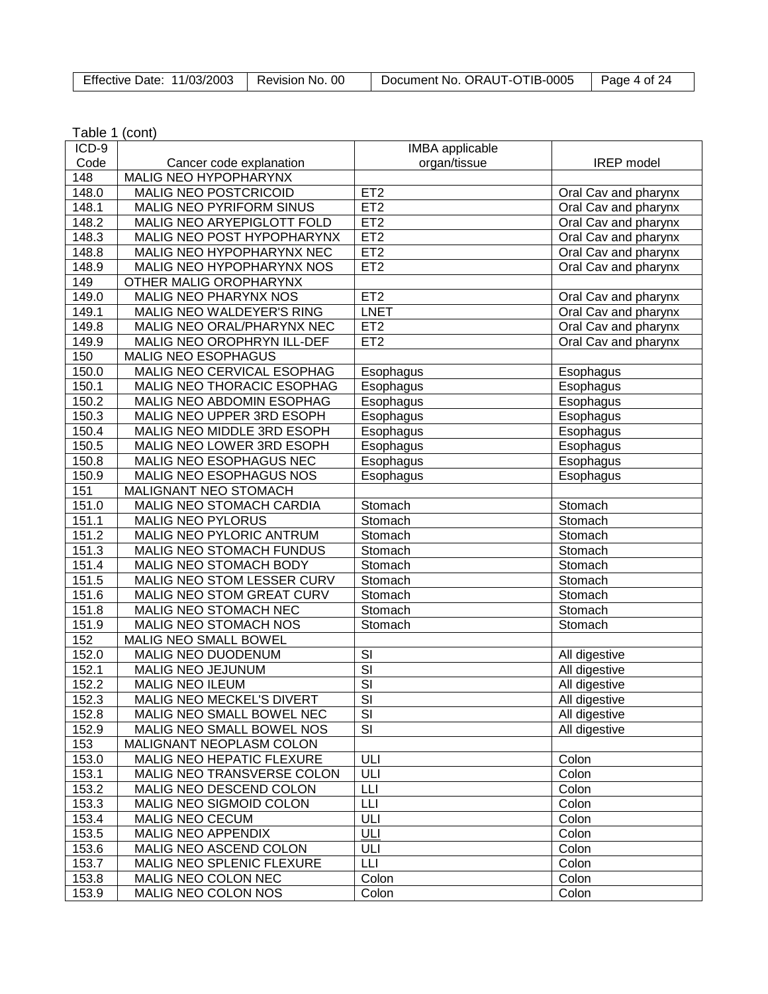| Effective Date: 11/03/2003   Revision No. 00 |  | Document No. ORAUT-OTIB-0005 | Page 4 of 24 |
|----------------------------------------------|--|------------------------------|--------------|
|----------------------------------------------|--|------------------------------|--------------|

| ICD-9 |                              | IMBA applicable          |                      |
|-------|------------------------------|--------------------------|----------------------|
| Code  | Cancer code explanation      | organ/tissue             | <b>IREP</b> model    |
| 148   | <b>MALIG NEO HYPOPHARYNX</b> |                          |                      |
| 148.0 | MALIG NEO POSTCRICOID        | ET <sub>2</sub>          | Oral Cav and pharynx |
| 148.1 | MALIG NEO PYRIFORM SINUS     | ET2                      | Oral Cav and pharynx |
| 148.2 | MALIG NEO ARYEPIGLOTT FOLD   | ET2                      | Oral Cav and pharynx |
| 148.3 | MALIG NEO POST HYPOPHARYNX   | ET <sub>2</sub>          | Oral Cav and pharynx |
| 148.8 | MALIG NEO HYPOPHARYNX NEC    | ET2                      | Oral Cav and pharynx |
| 148.9 | MALIG NEO HYPOPHARYNX NOS    | ET <sub>2</sub>          | Oral Cav and pharynx |
| 149   | OTHER MALIG OROPHARYNX       |                          |                      |
| 149.0 | MALIG NEO PHARYNX NOS        | ET <sub>2</sub>          | Oral Cav and pharynx |
| 149.1 | MALIG NEO WALDEYER'S RING    | <b>LNET</b>              | Oral Cav and pharynx |
| 149.8 | MALIG NEO ORAL/PHARYNX NEC   | ET <sub>2</sub>          | Oral Cav and pharynx |
| 149.9 | MALIG NEO OROPHRYN ILL-DEF   | ET <sub>2</sub>          | Oral Cav and pharynx |
| 150   | MALIG NEO ESOPHAGUS          |                          |                      |
| 150.0 | MALIG NEO CERVICAL ESOPHAG   | Esophagus                | Esophagus            |
| 150.1 | MALIG NEO THORACIC ESOPHAG   | Esophagus                | Esophagus            |
| 150.2 | MALIG NEO ABDOMIN ESOPHAG    | Esophagus                | Esophagus            |
| 150.3 | MALIG NEO UPPER 3RD ESOPH    | Esophagus                | Esophagus            |
| 150.4 | MALIG NEO MIDDLE 3RD ESOPH   | Esophagus                | Esophagus            |
| 150.5 | MALIG NEO LOWER 3RD ESOPH    | Esophagus                | Esophagus            |
| 150.8 | MALIG NEO ESOPHAGUS NEC      | Esophagus                | Esophagus            |
| 150.9 | MALIG NEO ESOPHAGUS NOS      | Esophagus                | Esophagus            |
| 151   | MALIGNANT NEO STOMACH        |                          |                      |
| 151.0 | MALIG NEO STOMACH CARDIA     | Stomach                  | Stomach              |
| 151.1 | <b>MALIG NEO PYLORUS</b>     | Stomach                  | Stomach              |
| 151.2 | MALIG NEO PYLORIC ANTRUM     | Stomach                  | Stomach              |
| 151.3 | MALIG NEO STOMACH FUNDUS     | Stomach                  | Stomach              |
| 151.4 | MALIG NEO STOMACH BODY       | Stomach                  | Stomach              |
| 151.5 | MALIG NEO STOM LESSER CURV   | Stomach                  | Stomach              |
| 151.6 | MALIG NEO STOM GREAT CURV    | Stomach                  | Stomach              |
| 151.8 | MALIG NEO STOMACH NEC        | Stomach                  | Stomach              |
| 151.9 | MALIG NEO STOMACH NOS        | Stomach                  | Stomach              |
| 152   | MALIG NEO SMALL BOWEL        |                          |                      |
| 152.0 | MALIG NEO DUODENUM           | SI                       | All digestive        |
| 152.1 | MALIG NEO JEJUNUM            | $\overline{\mathsf{SI}}$ | All digestive        |
| 152.2 | <b>MALIG NEO ILEUM</b>       | $\overline{\mathsf{SI}}$ | All digestive        |
| 152.3 | MALIG NEO MECKEL'S DIVERT    | $\overline{\mathsf{SI}}$ | All digestive        |
| 152.8 | MALIG NEO SMALL BOWEL NEC    | SI                       | All digestive        |
| 152.9 | MALIG NEO SMALL BOWEL NOS    | $\overline{\mathsf{SI}}$ | All digestive        |
| 153   | MALIGNANT NEOPLASM COLON     |                          |                      |
| 153.0 | MALIG NEO HEPATIC FLEXURE    | ULI                      | Colon                |
| 153.1 | MALIG NEO TRANSVERSE COLON   | ULI                      | Colon                |
| 153.2 | MALIG NEO DESCEND COLON      | LLI                      | Colon                |
| 153.3 | MALIG NEO SIGMOID COLON      | LЦ                       | Colon                |
| 153.4 | <b>MALIG NEO CECUM</b>       | ULI                      | Colon                |
| 153.5 | <b>MALIG NEO APPENDIX</b>    | ULI                      | Colon                |
| 153.6 | MALIG NEO ASCEND COLON       | ULI                      | Colon                |
| 153.7 | MALIG NEO SPLENIC FLEXURE    | <b>LLI</b>               | Colon                |
| 153.8 | MALIG NEO COLON NEC          | Colon                    | Colon                |
| 153.9 | MALIG NEO COLON NOS          | Colon                    | Colon                |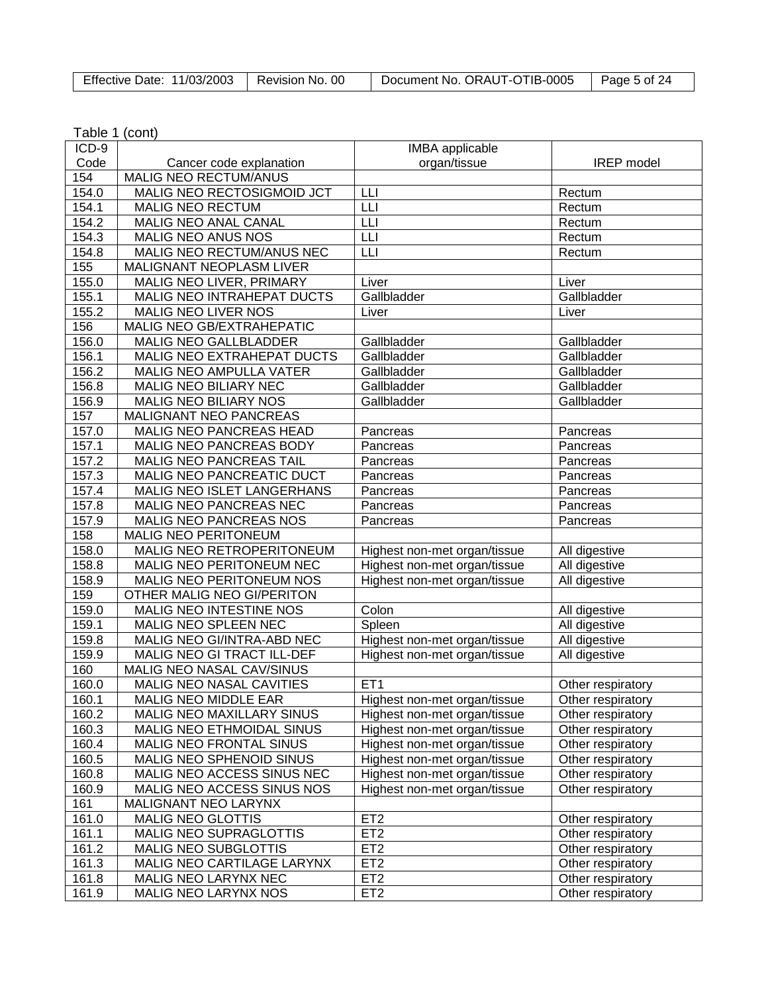| Effective Date: 11/03/2003   Revision No. 00 |  | Document No. ORAUT-OTIB-0005 | $\vert$ Page 5 of 24 |
|----------------------------------------------|--|------------------------------|----------------------|
|----------------------------------------------|--|------------------------------|----------------------|

| ICD-9 |                                  | IMBA applicable              |                   |
|-------|----------------------------------|------------------------------|-------------------|
| Code  | Cancer code explanation          | organ/tissue                 | <b>IREP</b> model |
| 154   | MALIG NEO RECTUM/ANUS            |                              |                   |
| 154.0 | MALIG NEO RECTOSIGMOID JCT       | LЦ                           | Rectum            |
| 154.1 | <b>MALIG NEO RECTUM</b>          | LLI                          | Rectum            |
| 154.2 | MALIG NEO ANAL CANAL             | LLI                          | Rectum            |
| 154.3 | MALIG NEO ANUS NOS               | LLI                          | Rectum            |
| 154.8 | MALIG NEO RECTUM/ANUS NEC        | LLI                          | Rectum            |
| 155   | <b>MALIGNANT NEOPLASM LIVER</b>  |                              |                   |
| 155.0 | MALIG NEO LIVER, PRIMARY         | Liver                        | Liver             |
| 155.1 | MALIG NEO INTRAHEPAT DUCTS       | Gallbladder                  | Gallbladder       |
| 155.2 | <b>MALIG NEO LIVER NOS</b>       | Liver                        | Liver             |
| 156   | MALIG NEO GB/EXTRAHEPATIC        |                              |                   |
| 156.0 | MALIG NEO GALLBLADDER            | Gallbladder                  | Gallbladder       |
| 156.1 | MALIG NEO EXTRAHEPAT DUCTS       | Gallbladder                  | Gallbladder       |
| 156.2 | MALIG NEO AMPULLA VATER          | Gallbladder                  | Gallbladder       |
| 156.8 | MALIG NEO BILIARY NEC            | Gallbladder                  | Gallbladder       |
| 156.9 | <b>MALIG NEO BILIARY NOS</b>     | Gallbladder                  | Gallbladder       |
| 157   | MALIGNANT NEO PANCREAS           |                              |                   |
| 157.0 | MALIG NEO PANCREAS HEAD          | Pancreas                     | Pancreas          |
| 157.1 | MALIG NEO PANCREAS BODY          | Pancreas                     | Pancreas          |
| 157.2 | <b>MALIG NEO PANCREAS TAIL</b>   | Pancreas                     | Pancreas          |
| 157.3 | MALIG NEO PANCREATIC DUCT        | Pancreas                     | Pancreas          |
| 157.4 | MALIG NEO ISLET LANGERHANS       | Pancreas                     | Pancreas          |
| 157.8 | MALIG NEO PANCREAS NEC           | Pancreas                     | Pancreas          |
| 157.9 | MALIG NEO PANCREAS NOS           | Pancreas                     | Pancreas          |
| 158   | <b>MALIG NEO PERITONEUM</b>      |                              |                   |
| 158.0 | MALIG NEO RETROPERITONEUM        | Highest non-met organ/tissue | All digestive     |
| 158.8 | MALIG NEO PERITONEUM NEC         | Highest non-met organ/tissue | All digestive     |
| 158.9 | <b>MALIG NEO PERITONEUM NOS</b>  | Highest non-met organ/tissue | All digestive     |
| 159   | OTHER MALIG NEO GI/PERITON       |                              |                   |
| 159.0 | MALIG NEO INTESTINE NOS          | Colon                        | All digestive     |
| 159.1 | MALIG NEO SPLEEN NEC             | Spleen                       | All digestive     |
| 159.8 | MALIG NEO GI/INTRA-ABD NEC       | Highest non-met organ/tissue | All digestive     |
| 159.9 | MALIG NEO GI TRACT ILL-DEF       | Highest non-met organ/tissue | All digestive     |
| 160   | MALIG NEO NASAL CAV/SINUS        |                              |                   |
| 160.0 | MALIG NEO NASAL CAVITIES         | ET <sub>1</sub>              | Other respiratory |
| 160.1 | <b>MALIG NEO MIDDLE EAR</b>      | Highest non-met organ/tissue | Other respiratory |
| 160.2 | <b>MALIG NEO MAXILLARY SINUS</b> | Highest non-met organ/tissue | Other respiratory |
| 160.3 | MALIG NEO ETHMOIDAL SINUS        | Highest non-met organ/tissue | Other respiratory |
| 160.4 | MALIG NEO FRONTAL SINUS          | Highest non-met organ/tissue | Other respiratory |
| 160.5 | MALIG NEO SPHENOID SINUS         | Highest non-met organ/tissue | Other respiratory |
| 160.8 | MALIG NEO ACCESS SINUS NEC       | Highest non-met organ/tissue | Other respiratory |
| 160.9 | MALIG NEO ACCESS SINUS NOS       | Highest non-met organ/tissue | Other respiratory |
| 161   | MALIGNANT NEO LARYNX             |                              |                   |
| 161.0 | <b>MALIG NEO GLOTTIS</b>         | ET <sub>2</sub>              | Other respiratory |
| 161.1 | MALIG NEO SUPRAGLOTTIS           | ET <sub>2</sub>              | Other respiratory |
| 161.2 | <b>MALIG NEO SUBGLOTTIS</b>      | ET <sub>2</sub>              | Other respiratory |
| 161.3 | MALIG NEO CARTILAGE LARYNX       | ET <sub>2</sub>              | Other respiratory |
| 161.8 | MALIG NEO LARYNX NEC             | ET <sub>2</sub>              | Other respiratory |
| 161.9 | MALIG NEO LARYNX NOS             | ET <sub>2</sub>              | Other respiratory |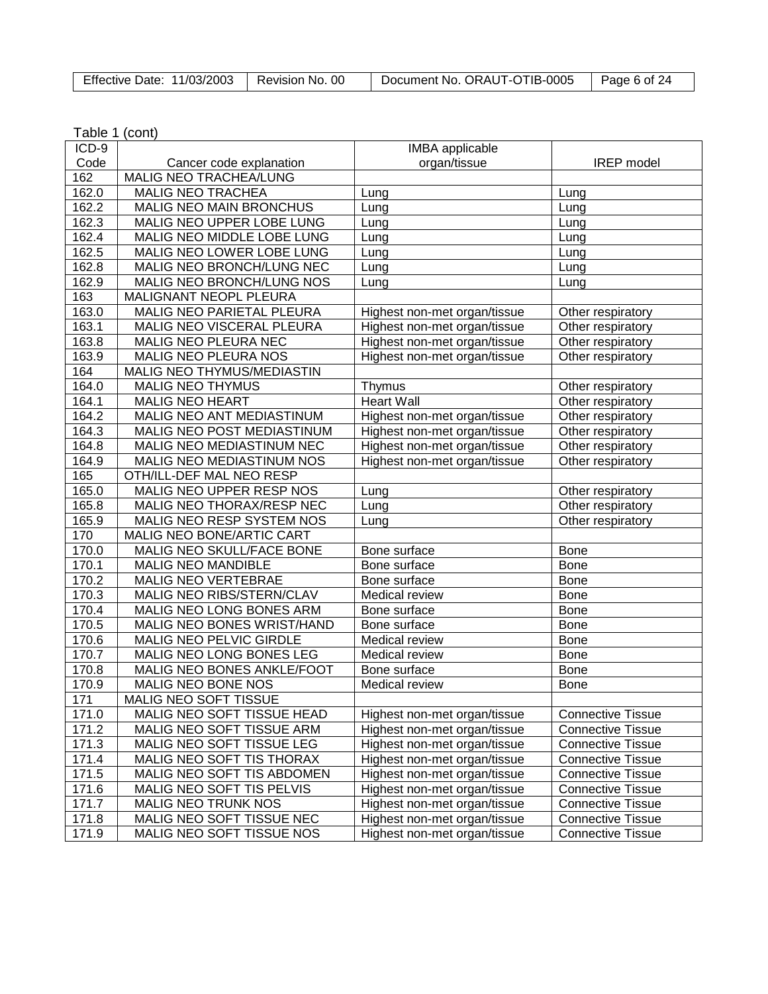| Effective Date: 11/03/2003   Revision No. 00 |  | Document No. ORAUT-OTIB-0005 | $\vert$ Page 6 of 24 |
|----------------------------------------------|--|------------------------------|----------------------|
|----------------------------------------------|--|------------------------------|----------------------|

| $ICD-9$ |                                  | <b>IMBA</b> applicable       |                          |
|---------|----------------------------------|------------------------------|--------------------------|
| Code    | Cancer code explanation          | organ/tissue                 | <b>IREP</b> model        |
| 162     | MALIG NEO TRACHEA/LUNG           |                              |                          |
| 162.0   | <b>MALIG NEO TRACHEA</b>         | Lung                         | Lung                     |
| 162.2   | MALIG NEO MAIN BRONCHUS          | Lung                         | Lung                     |
| 162.3   | MALIG NEO UPPER LOBE LUNG        | Lung                         | Lung                     |
| 162.4   | MALIG NEO MIDDLE LOBE LUNG       | Lung                         | Lung                     |
| 162.5   | MALIG NEO LOWER LOBE LUNG        | Lung                         | Lung                     |
| 162.8   | MALIG NEO BRONCH/LUNG NEC        | Lung                         | Lung                     |
| 162.9   | MALIG NEO BRONCH/LUNG NOS        | Lung                         | Lung                     |
| 163     | MALIGNANT NEOPL PLEURA           |                              |                          |
| 163.0   | MALIG NEO PARIETAL PLEURA        | Highest non-met organ/tissue | Other respiratory        |
| 163.1   | MALIG NEO VISCERAL PLEURA        | Highest non-met organ/tissue | Other respiratory        |
| 163.8   | MALIG NEO PLEURA NEC             | Highest non-met organ/tissue | Other respiratory        |
| 163.9   | MALIG NEO PLEURA NOS             | Highest non-met organ/tissue | Other respiratory        |
| 164     | MALIG NEO THYMUS/MEDIASTIN       |                              |                          |
| 164.0   | <b>MALIG NEO THYMUS</b>          | Thymus                       | Other respiratory        |
| 164.1   | <b>MALIG NEO HEART</b>           | <b>Heart Wall</b>            | Other respiratory        |
| 164.2   | MALIG NEO ANT MEDIASTINUM        | Highest non-met organ/tissue | Other respiratory        |
| 164.3   | MALIG NEO POST MEDIASTINUM       | Highest non-met organ/tissue | Other respiratory        |
| 164.8   | MALIG NEO MEDIASTINUM NEC        | Highest non-met organ/tissue | Other respiratory        |
| 164.9   | MALIG NEO MEDIASTINUM NOS        | Highest non-met organ/tissue | Other respiratory        |
| 165     | OTH/ILL-DEF MAL NEO RESP         |                              |                          |
| 165.0   | MALIG NEO UPPER RESP NOS         | Lung                         | Other respiratory        |
| 165.8   | MALIG NEO THORAX/RESP NEC        | Lung                         | Other respiratory        |
| 165.9   | MALIG NEO RESP SYSTEM NOS        | Lung                         | Other respiratory        |
| 170     | <b>MALIG NEO BONE/ARTIC CART</b> |                              |                          |
| 170.0   | MALIG NEO SKULL/FACE BONE        | Bone surface                 | <b>Bone</b>              |
| 170.1   | <b>MALIG NEO MANDIBLE</b>        | Bone surface                 | <b>Bone</b>              |
| 170.2   | MALIG NEO VERTEBRAE              | Bone surface                 | <b>Bone</b>              |
| 170.3   | MALIG NEO RIBS/STERN/CLAV        | Medical review               | <b>Bone</b>              |
| 170.4   | MALIG NEO LONG BONES ARM         | Bone surface                 | <b>Bone</b>              |
| 170.5   | MALIG NEO BONES WRIST/HAND       | Bone surface                 | <b>Bone</b>              |
| 170.6   | MALIG NEO PELVIC GIRDLE          | Medical review               | <b>Bone</b>              |
| 170.7   | MALIG NEO LONG BONES LEG         | Medical review               | <b>Bone</b>              |
| 170.8   | MALIG NEO BONES ANKLE/FOOT       | Bone surface                 | <b>Bone</b>              |
| 170.9   | MALIG NEO BONE NOS               | Medical review               | <b>Bone</b>              |
| 171     | <b>MALIG NEO SOFT TISSUE</b>     |                              |                          |
| 171.0   | MALIG NEO SOFT TISSUE HEAD       | Highest non-met organ/tissue | <b>Connective Tissue</b> |
| 171.2   | MALIG NEO SOFT TISSUE ARM        | Highest non-met organ/tissue | <b>Connective Tissue</b> |
| 171.3   | MALIG NEO SOFT TISSUE LEG        | Highest non-met organ/tissue | <b>Connective Tissue</b> |
| 171.4   | MALIG NEO SOFT TIS THORAX        | Highest non-met organ/tissue | <b>Connective Tissue</b> |
| 171.5   | MALIG NEO SOFT TIS ABDOMEN       | Highest non-met organ/tissue | <b>Connective Tissue</b> |
| 171.6   | MALIG NEO SOFT TIS PELVIS        | Highest non-met organ/tissue | <b>Connective Tissue</b> |
| 171.7   | <b>MALIG NEO TRUNK NOS</b>       | Highest non-met organ/tissue | <b>Connective Tissue</b> |
| 171.8   | MALIG NEO SOFT TISSUE NEC        | Highest non-met organ/tissue | <b>Connective Tissue</b> |
| 171.9   | MALIG NEO SOFT TISSUE NOS        | Highest non-met organ/tissue | <b>Connective Tissue</b> |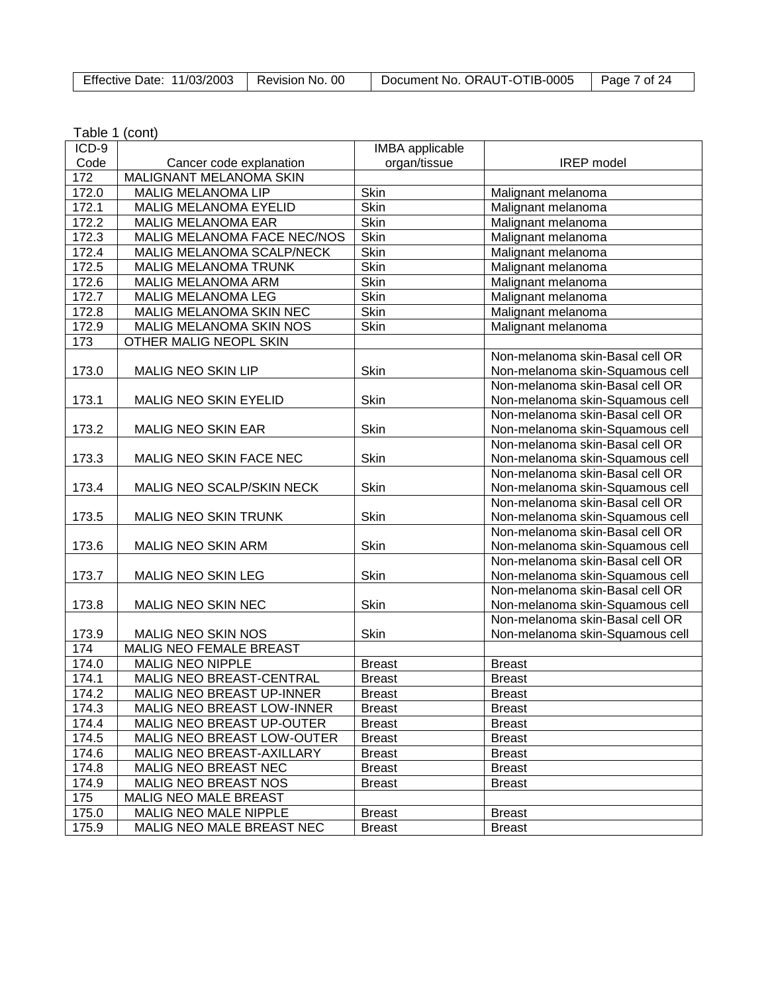| Effective Date: 11/03/2003   Revision No. 00 | Document No. ORAUT-OTIB-0005 | Page 7 of 24 |
|----------------------------------------------|------------------------------|--------------|
|                                              |                              |              |

| Table 1 (cont) |  |
|----------------|--|
|----------------|--|

| ICD-9 |                                   | <b>IMBA</b> applicable |                                 |
|-------|-----------------------------------|------------------------|---------------------------------|
| Code  | Cancer code explanation           | organ/tissue           | <b>IREP</b> model               |
| 172   | MALIGNANT MELANOMA SKIN           |                        |                                 |
| 172.0 | <b>MALIG MELANOMA LIP</b>         | Skin                   | Malignant melanoma              |
| 172.1 | <b>MALIG MELANOMA EYELID</b>      | <b>Skin</b>            | Malignant melanoma              |
| 172.2 | <b>MALIG MELANOMA EAR</b>         | Skin                   | Malignant melanoma              |
| 172.3 | MALIG MELANOMA FACE NEC/NOS       | Skin                   | Malignant melanoma              |
| 172.4 | MALIG MELANOMA SCALP/NECK         | Skin                   | Malignant melanoma              |
| 172.5 | MALIG MELANOMA TRUNK              | Skin                   | Malignant melanoma              |
| 172.6 | MALIG MELANOMA ARM                | Skin                   | Malignant melanoma              |
| 172.7 | MALIG MELANOMA LEG                | <b>Skin</b>            | Malignant melanoma              |
| 172.8 | MALIG MELANOMA SKIN NEC           | Skin                   | Malignant melanoma              |
| 172.9 | MALIG MELANOMA SKIN NOS           | Skin                   | Malignant melanoma              |
| 173   | OTHER MALIG NEOPL SKIN            |                        |                                 |
|       |                                   |                        | Non-melanoma skin-Basal cell OR |
| 173.0 | MALIG NEO SKIN LIP                | Skin                   | Non-melanoma skin-Squamous cell |
|       |                                   |                        | Non-melanoma skin-Basal cell OR |
| 173.1 | MALIG NEO SKIN EYELID             | Skin                   | Non-melanoma skin-Squamous cell |
|       |                                   |                        | Non-melanoma skin-Basal cell OR |
| 173.2 | <b>MALIG NEO SKIN EAR</b>         | Skin                   | Non-melanoma skin-Squamous cell |
|       |                                   |                        | Non-melanoma skin-Basal cell OR |
| 173.3 | MALIG NEO SKIN FACE NEC           | Skin                   | Non-melanoma skin-Squamous cell |
|       |                                   |                        | Non-melanoma skin-Basal cell OR |
| 173.4 | MALIG NEO SCALP/SKIN NECK         | Skin                   | Non-melanoma skin-Squamous cell |
|       |                                   |                        | Non-melanoma skin-Basal cell OR |
| 173.5 | MALIG NEO SKIN TRUNK              | Skin                   | Non-melanoma skin-Squamous cell |
|       |                                   |                        | Non-melanoma skin-Basal cell OR |
| 173.6 | MALIG NEO SKIN ARM                | Skin                   | Non-melanoma skin-Squamous cell |
|       |                                   |                        | Non-melanoma skin-Basal cell OR |
| 173.7 | <b>MALIG NEO SKIN LEG</b>         | Skin                   | Non-melanoma skin-Squamous cell |
|       |                                   |                        | Non-melanoma skin-Basal cell OR |
| 173.8 | MALIG NEO SKIN NEC                | Skin                   | Non-melanoma skin-Squamous cell |
|       |                                   |                        | Non-melanoma skin-Basal cell OR |
| 173.9 | MALIG NEO SKIN NOS                | Skin                   | Non-melanoma skin-Squamous cell |
| 174   | <b>MALIG NEO FEMALE BREAST</b>    |                        |                                 |
| 174.0 | <b>MALIG NEO NIPPLE</b>           | <b>Breast</b>          | <b>Breast</b>                   |
| 174.1 | MALIG NEO BREAST-CENTRAL          | <b>Breast</b>          | <b>Breast</b>                   |
| 174.2 | MALIG NEO BREAST UP-INNER         | <b>Breast</b>          | <b>Breast</b>                   |
| 174.3 | <b>MALIG NEO BREAST LOW-INNER</b> | <b>Breast</b>          | <b>Breast</b>                   |
| 174.4 | MALIG NEO BREAST UP-OUTER         | <b>Breast</b>          | <b>Breast</b>                   |
| 174.5 | MALIG NEO BREAST LOW-OUTER        | <b>Breast</b>          | <b>Breast</b>                   |
| 174.6 | MALIG NEO BREAST-AXILLARY         | <b>Breast</b>          | <b>Breast</b>                   |
| 174.8 | MALIG NEO BREAST NEC              | <b>Breast</b>          | <b>Breast</b>                   |
| 174.9 | <b>MALIG NEO BREAST NOS</b>       | <b>Breast</b>          | <b>Breast</b>                   |
| 175   | MALIG NEO MALE BREAST             |                        |                                 |
| 175.0 | MALIG NEO MALE NIPPLE             | <b>Breast</b>          | <b>Breast</b>                   |
| 175.9 | MALIG NEO MALE BREAST NEC         | <b>Breast</b>          | <b>Breast</b>                   |
|       |                                   |                        |                                 |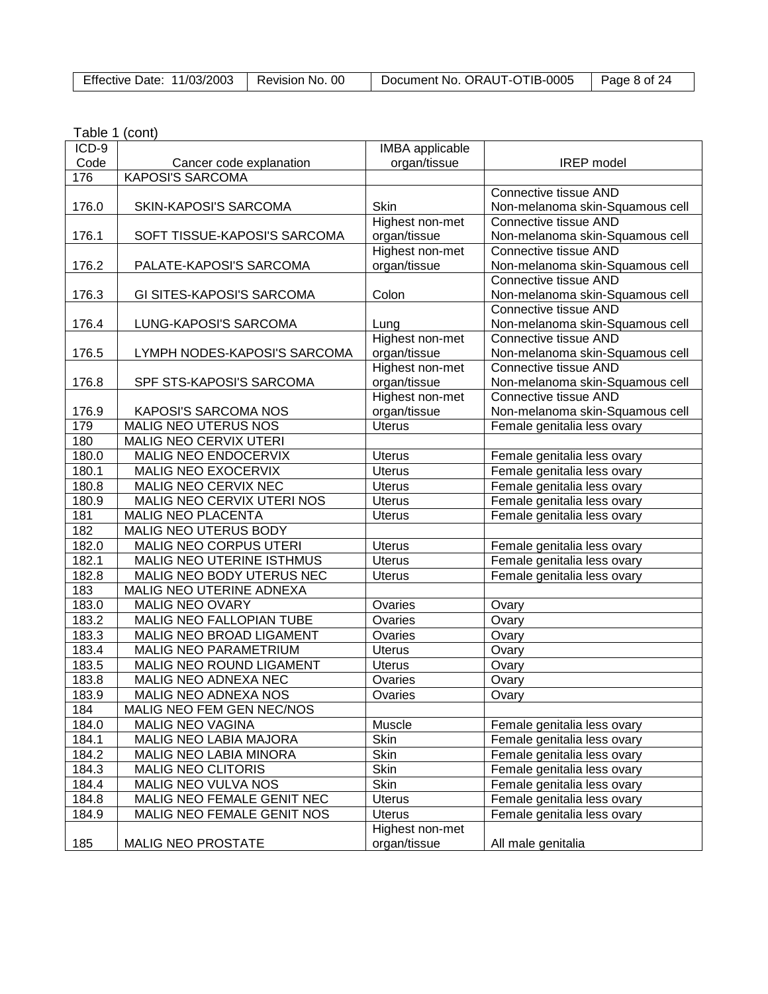| Effective Date: 11/03/2003 | Revision No. 00 | Document No. ORAUT-OTIB-0005 | Page 8 of 24 |
|----------------------------|-----------------|------------------------------|--------------|
|                            |                 |                              |              |

| ICD-9 |                              | <b>IMBA</b> applicable |                                                            |
|-------|------------------------------|------------------------|------------------------------------------------------------|
| Code  | Cancer code explanation      | organ/tissue           | <b>IREP</b> model                                          |
| 176   | <b>KAPOSI'S SARCOMA</b>      |                        |                                                            |
|       |                              |                        | Connective tissue AND                                      |
| 176.0 | SKIN-KAPOSI'S SARCOMA        | Skin                   | Non-melanoma skin-Squamous cell                            |
|       |                              | Highest non-met        | Connective tissue AND                                      |
| 176.1 | SOFT TISSUE-KAPOSI'S SARCOMA | organ/tissue           | Non-melanoma skin-Squamous cell                            |
|       |                              | Highest non-met        | Connective tissue AND                                      |
| 176.2 | PALATE-KAPOSI'S SARCOMA      | organ/tissue           | Non-melanoma skin-Squamous cell                            |
|       |                              |                        | Connective tissue AND                                      |
| 176.3 | GI SITES-KAPOSI'S SARCOMA    | Colon                  | Non-melanoma skin-Squamous cell                            |
|       |                              |                        | Connective tissue AND                                      |
| 176.4 | LUNG-KAPOSI'S SARCOMA        | Lung                   | Non-melanoma skin-Squamous cell                            |
|       |                              | Highest non-met        | <b>Connective tissue AND</b>                               |
| 176.5 | LYMPH NODES-KAPOSI'S SARCOMA | organ/tissue           | Non-melanoma skin-Squamous cell                            |
|       |                              | Highest non-met        | Connective tissue AND                                      |
| 176.8 | SPF STS-KAPOSI'S SARCOMA     | organ/tissue           | Non-melanoma skin-Squamous cell                            |
|       |                              | Highest non-met        | Connective tissue AND                                      |
| 176.9 | <b>KAPOSI'S SARCOMA NOS</b>  | organ/tissue           | Non-melanoma skin-Squamous cell                            |
| 179   | MALIG NEO UTERUS NOS         | <b>Uterus</b>          | Female genitalia less ovary                                |
| 180   | MALIG NEO CERVIX UTERI       |                        |                                                            |
| 180.0 | MALIG NEO ENDOCERVIX         | <b>Uterus</b>          | Female genitalia less ovary                                |
| 180.1 | MALIG NEO EXOCERVIX          | <b>Uterus</b>          | Female genitalia less ovary                                |
| 180.8 | MALIG NEO CERVIX NEC         | <b>Uterus</b>          | Female genitalia less ovary                                |
| 180.9 | MALIG NEO CERVIX UTERI NOS   | <b>Uterus</b>          | Female genitalia less ovary                                |
| 181   | MALIG NEO PLACENTA           | <b>Uterus</b>          | Female genitalia less ovary                                |
| 182   | MALIG NEO UTERUS BODY        |                        |                                                            |
| 182.0 | MALIG NEO CORPUS UTERI       | <b>Uterus</b>          | Female genitalia less ovary                                |
| 182.1 | MALIG NEO UTERINE ISTHMUS    | <b>Uterus</b>          | Female genitalia less ovary                                |
| 182.8 | MALIG NEO BODY UTERUS NEC    | <b>Uterus</b>          | Female genitalia less ovary                                |
| 183   | MALIG NEO UTERINE ADNEXA     |                        |                                                            |
| 183.0 | <b>MALIG NEO OVARY</b>       | Ovaries                | Ovary                                                      |
| 183.2 | MALIG NEO FALLOPIAN TUBE     | Ovaries                | Ovary                                                      |
| 183.3 | MALIG NEO BROAD LIGAMENT     | Ovaries                | Ovary                                                      |
| 183.4 | MALIG NEO PARAMETRIUM        | <b>Uterus</b>          | Ovary                                                      |
| 183.5 | MALIG NEO ROUND LIGAMENT     | <b>Uterus</b>          | Ovary                                                      |
| 183.8 | MALIG NEO ADNEXA NEC         | Ovaries                | Ovary                                                      |
| 183.9 | MALIG NEO ADNEXA NOS         | Ovaries                | Ovary                                                      |
| 184   | MALIG NEO FEM GEN NEC/NOS    |                        |                                                            |
| 184.0 | <b>MALIG NEO VAGINA</b>      | Muscle                 |                                                            |
| 184.1 | MALIG NEO LABIA MAJORA       | Skin                   | Female genitalia less ovary<br>Female genitalia less ovary |
| 184.2 | MALIG NEO LABIA MINORA       | Skin                   | Female genitalia less ovary                                |
|       |                              |                        |                                                            |
| 184.3 | <b>MALIG NEO CLITORIS</b>    | Skin                   | Female genitalia less ovary                                |
| 184.4 | MALIG NEO VULVA NOS          | Skin                   | Female genitalia less ovary                                |
| 184.8 | MALIG NEO FEMALE GENIT NEC   | <b>Uterus</b>          | Female genitalia less ovary                                |
| 184.9 | MALIG NEO FEMALE GENIT NOS   | <b>Uterus</b>          | Female genitalia less ovary                                |
|       |                              | Highest non-met        |                                                            |
| 185   | <b>MALIG NEO PROSTATE</b>    | organ/tissue           | All male genitalia                                         |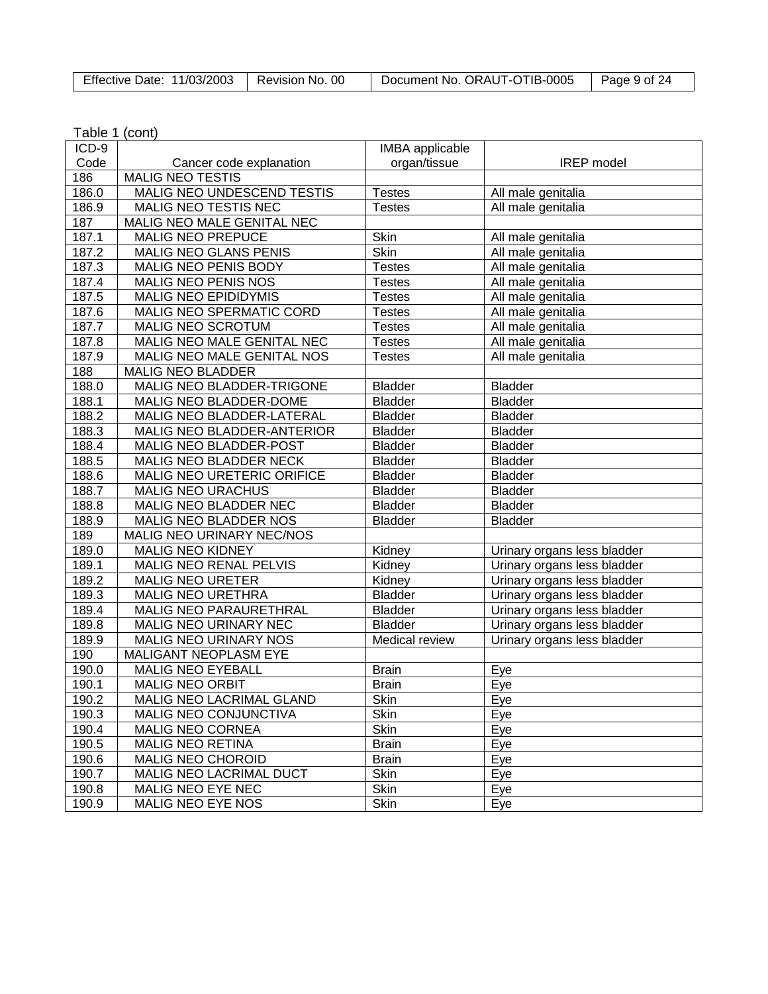| Effective Date: 11/03/2003   Revision No. 00 |  | Document No. ORAUT-OTIB-0005 | $\vert$ Page 9 of 24 |
|----------------------------------------------|--|------------------------------|----------------------|
|----------------------------------------------|--|------------------------------|----------------------|

| Table 1 (cont) |  |
|----------------|--|
|----------------|--|

| ICD-9          |                                                           | <b>IMBA</b> applicable         |                                          |
|----------------|-----------------------------------------------------------|--------------------------------|------------------------------------------|
| Code           | Cancer code explanation<br><b>MALIG NEO TESTIS</b>        | organ/tissue                   | <b>IREP</b> model                        |
| 186            |                                                           |                                |                                          |
| 186.0<br>186.9 | MALIG NEO UNDESCEND TESTIS<br>MALIG NEO TESTIS NEC        | <b>Testes</b><br><b>Testes</b> | All male genitalia                       |
| 187            | MALIG NEO MALE GENITAL NEC                                |                                | All male genitalia                       |
|                | <b>MALIG NEO PREPUCE</b>                                  | Skin                           |                                          |
| 187.1<br>187.2 | <b>MALIG NEO GLANS PENIS</b>                              | <b>Skin</b>                    | All male genitalia<br>All male genitalia |
|                |                                                           |                                |                                          |
| 187.3          | MALIG NEO PENIS BODY                                      | <b>Testes</b>                  | All male genitalia                       |
| 187.4<br>187.5 | <b>MALIG NEO PENIS NOS</b><br><b>MALIG NEO EPIDIDYMIS</b> | <b>Testes</b>                  | All male genitalia                       |
|                |                                                           | <b>Testes</b>                  | All male genitalia                       |
| 187.6          | MALIG NEO SPERMATIC CORD                                  | <b>Testes</b>                  | All male genitalia                       |
| 187.7          | MALIG NEO SCROTUM                                         | <b>Testes</b>                  | All male genitalia                       |
| 187.8          | MALIG NEO MALE GENITAL NEC                                | <b>Testes</b>                  | All male genitalia                       |
| 187.9          | <b>MALIG NEO MALE GENITAL NOS</b>                         | <b>Testes</b>                  | All male genitalia                       |
| 188            | <b>MALIG NEO BLADDER</b>                                  |                                |                                          |
| 188.0          | MALIG NEO BLADDER-TRIGONE                                 | <b>Bladder</b>                 | <b>Bladder</b>                           |
| 188.1          | MALIG NEO BLADDER-DOME                                    | <b>Bladder</b>                 | <b>Bladder</b>                           |
| 188.2          | MALIG NEO BLADDER-LATERAL                                 | <b>Bladder</b>                 | <b>Bladder</b>                           |
| 188.3          | MALIG NEO BLADDER-ANTERIOR                                | <b>Bladder</b>                 | <b>Bladder</b>                           |
| 188.4          | MALIG NEO BLADDER-POST                                    | <b>Bladder</b>                 | <b>Bladder</b>                           |
| 188.5          | MALIG NEO BLADDER NECK                                    | <b>Bladder</b>                 | <b>Bladder</b>                           |
| 188.6          | MALIG NEO URETERIC ORIFICE                                | <b>Bladder</b>                 | <b>Bladder</b>                           |
| 188.7          | <b>MALIG NEO URACHUS</b>                                  | <b>Bladder</b>                 | <b>Bladder</b>                           |
| 188.8          | MALIG NEO BLADDER NEC                                     | <b>Bladder</b>                 | <b>Bladder</b>                           |
| 188.9          | MALIG NEO BLADDER NOS                                     | <b>Bladder</b>                 | <b>Bladder</b>                           |
| 189            | MALIG NEO URINARY NEC/NOS                                 |                                |                                          |
| 189.0          | <b>MALIG NEO KIDNEY</b>                                   | Kidney                         | Urinary organs less bladder              |
| 189.1          | MALIG NEO RENAL PELVIS                                    | Kidney                         | Urinary organs less bladder              |
| 189.2          | <b>MALIG NEO URETER</b>                                   | Kidney                         | Urinary organs less bladder              |
| 189.3          | <b>MALIG NEO URETHRA</b>                                  | <b>Bladder</b>                 | Urinary organs less bladder              |
| 189.4          | MALIG NEO PARAURETHRAL                                    | <b>Bladder</b>                 | Urinary organs less bladder              |
| 189.8          | MALIG NEO URINARY NEC                                     | <b>Bladder</b>                 | Urinary organs less bladder              |
| 189.9          | <b>MALIG NEO URINARY NOS</b>                              | Medical review                 | Urinary organs less bladder              |
| 190            | <b>MALIGANT NEOPLASM EYE</b>                              |                                |                                          |
| 190.0          | <b>MALIG NEO EYEBALL</b>                                  | <b>Brain</b>                   | Eye                                      |
| 190.1          | <b>MALIG NEO ORBIT</b>                                    | <b>Brain</b>                   | Eye                                      |
| 190.2          | MALIG NEO LACRIMAL GLAND                                  | Skin                           | Eye                                      |
| 190.3          | MALIG NEO CONJUNCTIVA                                     | Skin                           | Eye                                      |
| 190.4          | <b>MALIG NEO CORNEA</b>                                   | Skin                           | Eye                                      |
| 190.5          | <b>MALIG NEO RETINA</b>                                   | <b>Brain</b>                   | Eye                                      |
| 190.6          | <b>MALIG NEO CHOROID</b>                                  | <b>Brain</b>                   | Eye                                      |
| 190.7          | MALIG NEO LACRIMAL DUCT                                   | Skin                           | Eye                                      |
| 190.8          | <b>MALIG NEO EYE NEC</b>                                  | Skin                           | Eye                                      |
| 190.9          | <b>MALIG NEO EYE NOS</b>                                  | Skin                           | Eye                                      |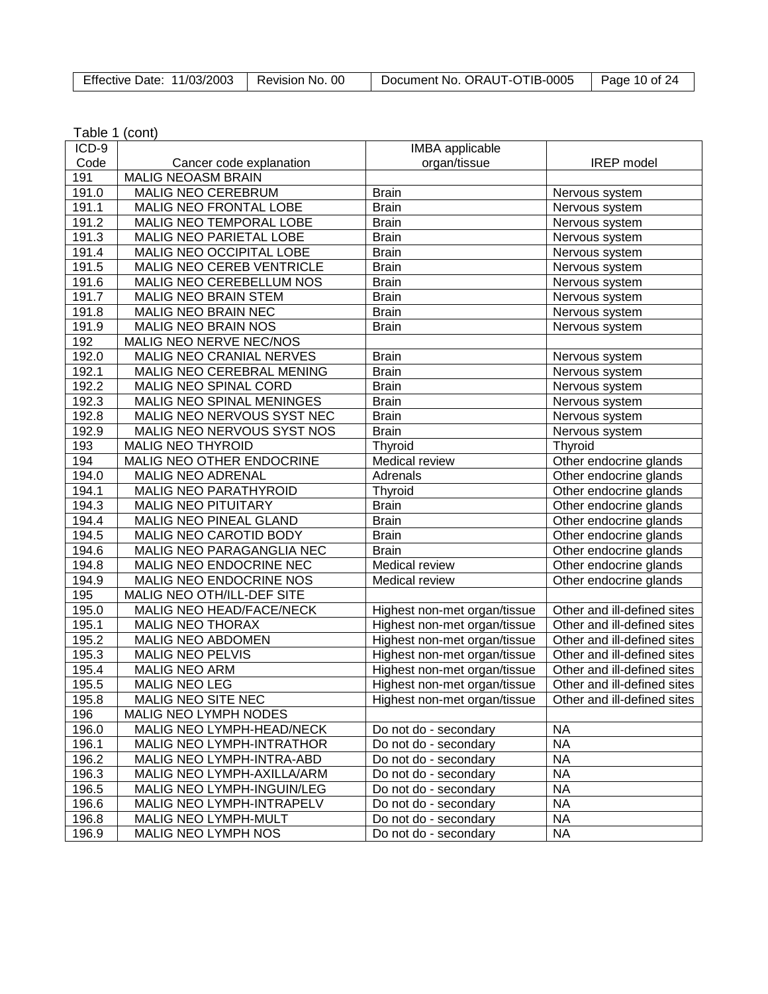| Effective Date: 11/03/2003   Revision No. 00 |  | Document No. ORAUT-OTIB-0005   Page 10 of 24 |  |
|----------------------------------------------|--|----------------------------------------------|--|
|----------------------------------------------|--|----------------------------------------------|--|

| $ICD-9$ |                                  | IMBA applicable              |                             |
|---------|----------------------------------|------------------------------|-----------------------------|
| Code    | Cancer code explanation          | organ/tissue                 | <b>IREP</b> model           |
| 191     | <b>MALIG NEOASM BRAIN</b>        |                              |                             |
| 191.0   | MALIG NEO CEREBRUM               | <b>Brain</b>                 | Nervous system              |
| 191.1   | MALIG NEO FRONTAL LOBE           | <b>Brain</b>                 | Nervous system              |
| 191.2   | MALIG NEO TEMPORAL LOBE          | <b>Brain</b>                 | Nervous system              |
| 191.3   | MALIG NEO PARIETAL LOBE          | <b>Brain</b>                 | Nervous system              |
| 191.4   | MALIG NEO OCCIPITAL LOBE         | <b>Brain</b>                 | Nervous system              |
| 191.5   | <b>MALIG NEO CEREB VENTRICLE</b> | <b>Brain</b>                 | Nervous system              |
| 191.6   | MALIG NEO CEREBELLUM NOS         | <b>Brain</b>                 | Nervous system              |
| 191.7   | MALIG NEO BRAIN STEM             | <b>Brain</b>                 | Nervous system              |
| 191.8   | MALIG NEO BRAIN NEC              | <b>Brain</b>                 | Nervous system              |
| 191.9   | MALIG NEO BRAIN NOS              | <b>Brain</b>                 | Nervous system              |
| 192     | MALIG NEO NERVE NEC/NOS          |                              |                             |
| 192.0   | MALIG NEO CRANIAL NERVES         | <b>Brain</b>                 | Nervous system              |
| 192.1   | MALIG NEO CEREBRAL MENING        | <b>Brain</b>                 | Nervous system              |
| 192.2   | <b>MALIG NEO SPINAL CORD</b>     | <b>Brain</b>                 | Nervous system              |
| 192.3   | MALIG NEO SPINAL MENINGES        | <b>Brain</b>                 | Nervous system              |
| 192.8   | MALIG NEO NERVOUS SYST NEC       | <b>Brain</b>                 | Nervous system              |
| 192.9   | MALIG NEO NERVOUS SYST NOS       | <b>Brain</b>                 | Nervous system              |
| 193     | <b>MALIG NEO THYROID</b>         | Thyroid                      | Thyroid                     |
| 194     | MALIG NEO OTHER ENDOCRINE        | Medical review               | Other endocrine glands      |
| 194.0   | <b>MALIG NEO ADRENAL</b>         | Adrenals                     | Other endocrine glands      |
| 194.1   | MALIG NEO PARATHYROID            | Thyroid                      | Other endocrine glands      |
| 194.3   | <b>MALIG NEO PITUITARY</b>       | <b>Brain</b>                 | Other endocrine glands      |
| 194.4   | MALIG NEO PINEAL GLAND           | <b>Brain</b>                 | Other endocrine glands      |
| 194.5   | MALIG NEO CAROTID BODY           | <b>Brain</b>                 | Other endocrine glands      |
| 194.6   | MALIG NEO PARAGANGLIA NEC        | <b>Brain</b>                 | Other endocrine glands      |
| 194.8   | MALIG NEO ENDOCRINE NEC          | Medical review               | Other endocrine glands      |
| 194.9   | MALIG NEO ENDOCRINE NOS          | Medical review               | Other endocrine glands      |
| 195     | MALIG NEO OTH/ILL-DEF SITE       |                              |                             |
| 195.0   | MALIG NEO HEAD/FACE/NECK         | Highest non-met organ/tissue | Other and ill-defined sites |
| 195.1   | <b>MALIG NEO THORAX</b>          | Highest non-met organ/tissue | Other and ill-defined sites |
| 195.2   | MALIG NEO ABDOMEN                | Highest non-met organ/tissue | Other and ill-defined sites |
| 195.3   | <b>MALIG NEO PELVIS</b>          | Highest non-met organ/tissue | Other and ill-defined sites |
| 195.4   | MALIG NEO ARM                    | Highest non-met organ/tissue | Other and ill-defined sites |
| 195.5   | MALIG NEO LEG                    | Highest non-met organ/tissue | Other and ill-defined sites |
| 195.8   | <b>MALIG NEO SITE NEC</b>        | Highest non-met organ/tissue | Other and ill-defined sites |
| 196     | MALIG NEO LYMPH NODES            |                              |                             |
| 196.0   | MALIG NEO LYMPH-HEAD/NECK        | Do not do - secondary        | <b>NA</b>                   |
| 196.1   | MALIG NEO LYMPH-INTRATHOR        | Do not do - secondary        | NA.                         |
| 196.2   | MALIG NEO LYMPH-INTRA-ABD        | Do not do - secondary        | <b>NA</b>                   |
| 196.3   | MALIG NEO LYMPH-AXILLA/ARM       | Do not do - secondary        | <b>NA</b>                   |
| 196.5   | MALIG NEO LYMPH-INGUIN/LEG       | Do not do - secondary        | <b>NA</b>                   |
| 196.6   | MALIG NEO LYMPH-INTRAPELV        | Do not do - secondary        | <b>NA</b>                   |
| 196.8   | MALIG NEO LYMPH-MULT             | Do not do - secondary        | NA                          |
| 196.9   | MALIG NEO LYMPH NOS              | Do not do - secondary        | <b>NA</b>                   |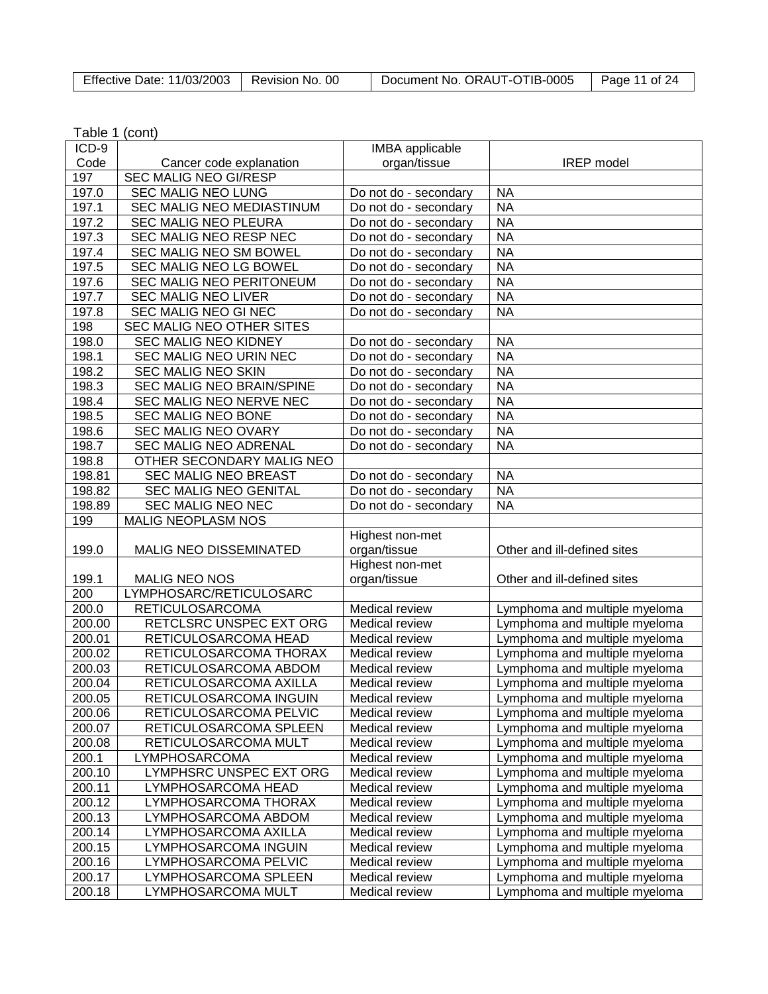| Effective Date: 11/03/2003   Revision No. 00 |  | Document No. ORAUT-OTIB-0005 | Page 11 of $24$ |
|----------------------------------------------|--|------------------------------|-----------------|
|----------------------------------------------|--|------------------------------|-----------------|

| Table 1 (cont) |  |
|----------------|--|
|----------------|--|

| ICD-9  |                              | <b>IMBA</b> applicable |                               |
|--------|------------------------------|------------------------|-------------------------------|
| Code   | Cancer code explanation      | organ/tissue           | <b>IREP</b> model             |
| 197    | <b>SEC MALIG NEO GI/RESP</b> |                        |                               |
| 197.0  | SEC MALIG NEO LUNG           | Do not do - secondary  | <b>NA</b>                     |
| 197.1  | SEC MALIG NEO MEDIASTINUM    | Do not do - secondary  | <b>NA</b>                     |
| 197.2  | <b>SEC MALIG NEO PLEURA</b>  | Do not do - secondary  | <b>NA</b>                     |
| 197.3  | SEC MALIG NEO RESP NEC       | Do not do - secondary  | <b>NA</b>                     |
| 197.4  | SEC MALIG NEO SM BOWEL       | Do not do - secondary  | <b>NA</b>                     |
| 197.5  | SEC MALIG NEO LG BOWEL       | Do not do - secondary  | <b>NA</b>                     |
| 197.6  | SEC MALIG NEO PERITONEUM     | Do not do - secondary  | <b>NA</b>                     |
| 197.7  | <b>SEC MALIG NEO LIVER</b>   | Do not do - secondary  | <b>NA</b>                     |
| 197.8  | SEC MALIG NEO GI NEC         | Do not do - secondary  | <b>NA</b>                     |
| 198    | SEC MALIG NEO OTHER SITES    |                        |                               |
| 198.0  | <b>SEC MALIG NEO KIDNEY</b>  | Do not do - secondary  | <b>NA</b>                     |
| 198.1  | SEC MALIG NEO URIN NEC       | Do not do - secondary  | <b>NA</b>                     |
| 198.2  | <b>SEC MALIG NEO SKIN</b>    | Do not do - secondary  | <b>NA</b>                     |
| 198.3  | SEC MALIG NEO BRAIN/SPINE    | Do not do - secondary  | <b>NA</b>                     |
| 198.4  | SEC MALIG NEO NERVE NEC      | Do not do - secondary  | <b>NA</b>                     |
| 198.5  | SEC MALIG NEO BONE           | Do not do - secondary  | <b>NA</b>                     |
| 198.6  | SEC MALIG NEO OVARY          | Do not do - secondary  | <b>NA</b>                     |
| 198.7  | <b>SEC MALIG NEO ADRENAL</b> | Do not do - secondary  | <b>NA</b>                     |
| 198.8  | OTHER SECONDARY MALIG NEO    |                        |                               |
| 198.81 | SEC MALIG NEO BREAST         | Do not do - secondary  | <b>NA</b>                     |
| 198.82 | <b>SEC MALIG NEO GENITAL</b> | Do not do - secondary  | <b>NA</b>                     |
| 198.89 | SEC MALIG NEO NEC            | Do not do - secondary  | <b>NA</b>                     |
| 199    | MALIG NEOPLASM NOS           |                        |                               |
|        |                              | Highest non-met        |                               |
| 199.0  | MALIG NEO DISSEMINATED       | organ/tissue           | Other and ill-defined sites   |
|        |                              | Highest non-met        |                               |
| 199.1  | MALIG NEO NOS                | organ/tissue           | Other and ill-defined sites   |
| 200    | LYMPHOSARC/RETICULOSARC      |                        |                               |
| 200.0  | <b>RETICULOSARCOMA</b>       | Medical review         | Lymphoma and multiple myeloma |
| 200.00 | RETCLSRC UNSPEC EXT ORG      | Medical review         | Lymphoma and multiple myeloma |
| 200.01 | RETICULOSARCOMA HEAD         | Medical review         | Lymphoma and multiple myeloma |
| 200.02 | RETICULOSARCOMA THORAX       | Medical review         | Lymphoma and multiple myeloma |
| 200.03 | RETICULOSARCOMA ABDOM        | Medical review         | Lymphoma and multiple myeloma |
| 200.04 | RETICULOSARCOMA AXILLA       | Medical review         | Lymphoma and multiple myeloma |
| 200.05 | RETICULOSARCOMA INGUIN       | Medical review         | Lymphoma and multiple myeloma |
| 200.06 | RETICULOSARCOMA PELVIC       | Medical review         | Lymphoma and multiple myeloma |
| 200.07 | RETICULOSARCOMA SPLEEN       | Medical review         | Lymphoma and multiple myeloma |
| 200.08 | RETICULOSARCOMA MULT         | Medical review         | Lymphoma and multiple myeloma |
| 200.1  | LYMPHOSARCOMA                | Medical review         | Lymphoma and multiple myeloma |
| 200.10 | LYMPHSRC UNSPEC EXT ORG      | Medical review         | Lymphoma and multiple myeloma |
| 200.11 | LYMPHOSARCOMA HEAD           | Medical review         | Lymphoma and multiple myeloma |
| 200.12 | LYMPHOSARCOMA THORAX         | <b>Medical review</b>  | Lymphoma and multiple myeloma |
| 200.13 | LYMPHOSARCOMA ABDOM          | Medical review         | Lymphoma and multiple myeloma |
| 200.14 | LYMPHOSARCOMA AXILLA         | Medical review         | Lymphoma and multiple myeloma |
| 200.15 | LYMPHOSARCOMA INGUIN         | Medical review         | Lymphoma and multiple myeloma |
| 200.16 | LYMPHOSARCOMA PELVIC         | Medical review         | Lymphoma and multiple myeloma |
| 200.17 | LYMPHOSARCOMA SPLEEN         | Medical review         | Lymphoma and multiple myeloma |
| 200.18 | LYMPHOSARCOMA MULT           | Medical review         | Lymphoma and multiple myeloma |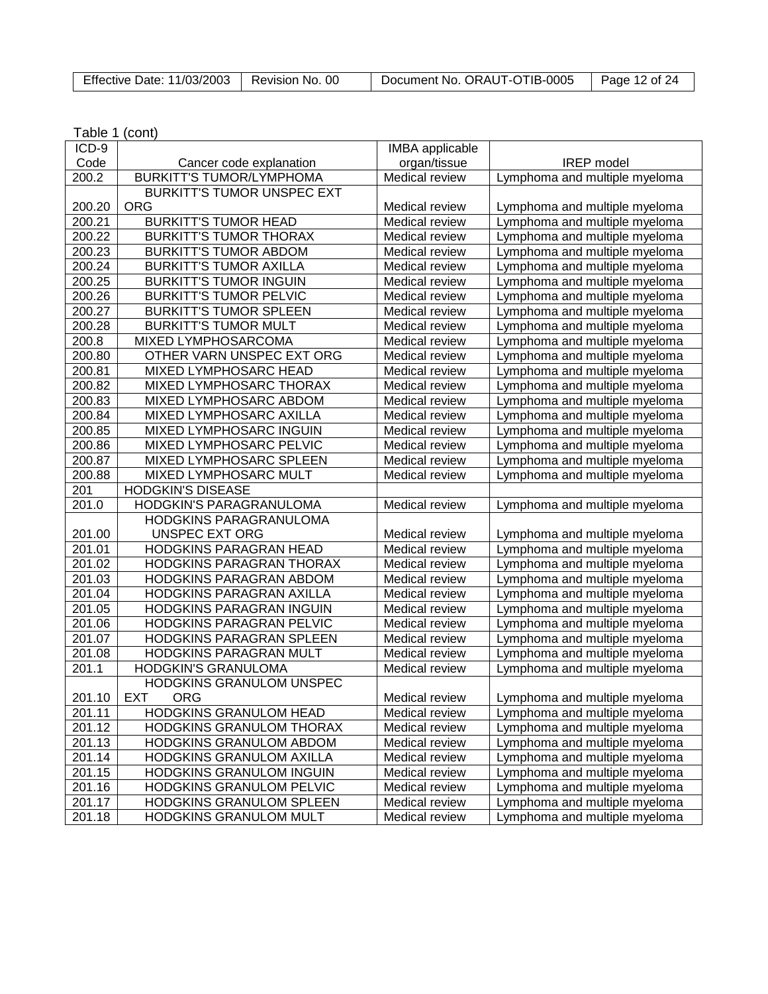| Effective Date: 11/03/2003 | Revision No. 00 | Document No. ORAUT-OTIB-0005 | Page 12 of 24 |
|----------------------------|-----------------|------------------------------|---------------|
|                            |                 |                              |               |

| Table 1 (cont) |  |
|----------------|--|
|----------------|--|

| ICD-9  |                                   | <b>IMBA</b> applicable |                               |
|--------|-----------------------------------|------------------------|-------------------------------|
| Code   | Cancer code explanation           | organ/tissue           | <b>IREP</b> model             |
| 200.2  | <b>BURKITT'S TUMOR/LYMPHOMA</b>   | Medical review         | Lymphoma and multiple myeloma |
|        | <b>BURKITT'S TUMOR UNSPEC EXT</b> |                        |                               |
| 200.20 | <b>ORG</b>                        | <b>Medical review</b>  | Lymphoma and multiple myeloma |
| 200.21 | <b>BURKITT'S TUMOR HEAD</b>       | Medical review         | Lymphoma and multiple myeloma |
| 200.22 | <b>BURKITT'S TUMOR THORAX</b>     | Medical review         | Lymphoma and multiple myeloma |
| 200.23 | <b>BURKITT'S TUMOR ABDOM</b>      | Medical review         | Lymphoma and multiple myeloma |
| 200.24 | <b>BURKITT'S TUMOR AXILLA</b>     | Medical review         | Lymphoma and multiple myeloma |
| 200.25 | <b>BURKITT'S TUMOR INGUIN</b>     | Medical review         | Lymphoma and multiple myeloma |
| 200.26 | <b>BURKITT'S TUMOR PELVIC</b>     | Medical review         | Lymphoma and multiple myeloma |
| 200.27 | <b>BURKITT'S TUMOR SPLEEN</b>     | Medical review         | Lymphoma and multiple myeloma |
| 200.28 | <b>BURKITT'S TUMOR MULT</b>       | Medical review         | Lymphoma and multiple myeloma |
| 200.8  | MIXED LYMPHOSARCOMA               | Medical review         | Lymphoma and multiple myeloma |
| 200.80 | OTHER VARN UNSPEC EXT ORG         | Medical review         | Lymphoma and multiple myeloma |
| 200.81 | MIXED LYMPHOSARC HEAD             | Medical review         | Lymphoma and multiple myeloma |
| 200.82 | MIXED LYMPHOSARC THORAX           | Medical review         | Lymphoma and multiple myeloma |
| 200.83 | MIXED LYMPHOSARC ABDOM            | Medical review         | Lymphoma and multiple myeloma |
| 200.84 | MIXED LYMPHOSARC AXILLA           | Medical review         | Lymphoma and multiple myeloma |
| 200.85 | MIXED LYMPHOSARC INGUIN           | Medical review         | Lymphoma and multiple myeloma |
| 200.86 | MIXED LYMPHOSARC PELVIC           | Medical review         | Lymphoma and multiple myeloma |
| 200.87 | MIXED LYMPHOSARC SPLEEN           | Medical review         | Lymphoma and multiple myeloma |
| 200.88 | MIXED LYMPHOSARC MULT             | Medical review         | Lymphoma and multiple myeloma |
| 201    | <b>HODGKIN'S DISEASE</b>          |                        |                               |
| 201.0  | HODGKIN'S PARAGRANULOMA           | Medical review         | Lymphoma and multiple myeloma |
|        | <b>HODGKINS PARAGRANULOMA</b>     |                        |                               |
| 201.00 | <b>UNSPEC EXT ORG</b>             | Medical review         | Lymphoma and multiple myeloma |
| 201.01 | HODGKINS PARAGRAN HEAD            | Medical review         | Lymphoma and multiple myeloma |
| 201.02 | HODGKINS PARAGRAN THORAX          | Medical review         | Lymphoma and multiple myeloma |
| 201.03 | HODGKINS PARAGRAN ABDOM           | Medical review         | Lymphoma and multiple myeloma |
| 201.04 | HODGKINS PARAGRAN AXILLA          | Medical review         | Lymphoma and multiple myeloma |
| 201.05 | HODGKINS PARAGRAN INGUIN          | Medical review         | Lymphoma and multiple myeloma |
| 201.06 | HODGKINS PARAGRAN PELVIC          | Medical review         | Lymphoma and multiple myeloma |
| 201.07 | HODGKINS PARAGRAN SPLEEN          | Medical review         | Lymphoma and multiple myeloma |
| 201.08 | HODGKINS PARAGRAN MULT            | Medical review         | Lymphoma and multiple myeloma |
| 201.1  | HODGKIN'S GRANULOMA               | Medical review         | Lymphoma and multiple myeloma |
|        | HODGKINS GRANULOM UNSPEC          |                        |                               |
| 201.10 | <b>ORG</b><br><b>EXT</b>          | Medical review         | Lymphoma and multiple myeloma |
| 201.11 | <b>HODGKINS GRANULOM HEAD</b>     | Medical review         | Lymphoma and multiple myeloma |
| 201.12 | HODGKINS GRANULOM THORAX          | Medical review         | Lymphoma and multiple myeloma |
| 201.13 | HODGKINS GRANULOM ABDOM           | Medical review         | Lymphoma and multiple myeloma |
| 201.14 | HODGKINS GRANULOM AXILLA          | Medical review         | Lymphoma and multiple myeloma |
| 201.15 | HODGKINS GRANULOM INGUIN          | Medical review         | Lymphoma and multiple myeloma |
| 201.16 | <b>HODGKINS GRANULOM PELVIC</b>   | Medical review         | Lymphoma and multiple myeloma |
| 201.17 | HODGKINS GRANULOM SPLEEN          | Medical review         | Lymphoma and multiple myeloma |
| 201.18 | HODGKINS GRANULOM MULT            | Medical review         | Lymphoma and multiple myeloma |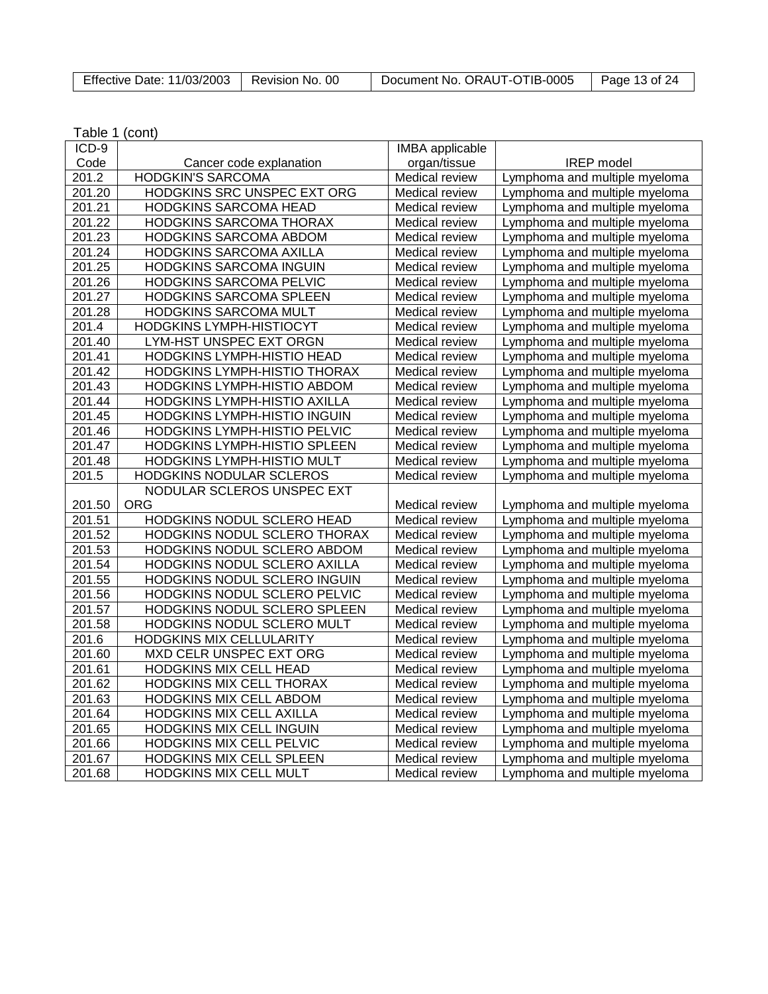|  | Effective Date: 11/03/2003   Revision No. 00 |  | Document No. ORAUT-OTIB-0005 | Page 13 of 24 |
|--|----------------------------------------------|--|------------------------------|---------------|
|--|----------------------------------------------|--|------------------------------|---------------|

| ICD-9  |                                     | <b>IMBA</b> applicable |                               |
|--------|-------------------------------------|------------------------|-------------------------------|
| Code   | Cancer code explanation             | organ/tissue           | <b>IREP</b> model             |
| 201.2  | <b>HODGKIN'S SARCOMA</b>            | Medical review         | Lymphoma and multiple myeloma |
| 201.20 | HODGKINS SRC UNSPEC EXT ORG         | Medical review         | Lymphoma and multiple myeloma |
| 201.21 | HODGKINS SARCOMA HEAD               | Medical review         | Lymphoma and multiple myeloma |
| 201.22 | HODGKINS SARCOMA THORAX             | Medical review         | Lymphoma and multiple myeloma |
| 201.23 | HODGKINS SARCOMA ABDOM              | Medical review         | Lymphoma and multiple myeloma |
| 201.24 | HODGKINS SARCOMA AXILLA             | Medical review         | Lymphoma and multiple myeloma |
| 201.25 | <b>HODGKINS SARCOMA INGUIN</b>      | Medical review         | Lymphoma and multiple myeloma |
| 201.26 | HODGKINS SARCOMA PELVIC             | Medical review         | Lymphoma and multiple myeloma |
| 201.27 | HODGKINS SARCOMA SPLEEN             | Medical review         | Lymphoma and multiple myeloma |
| 201.28 | HODGKINS SARCOMA MULT               | Medical review         | Lymphoma and multiple myeloma |
| 201.4  | <b>HODGKINS LYMPH-HISTIOCYT</b>     | Medical review         | Lymphoma and multiple myeloma |
| 201.40 | LYM-HST UNSPEC EXT ORGN             | Medical review         | Lymphoma and multiple myeloma |
| 201.41 | HODGKINS LYMPH-HISTIO HEAD          | Medical review         | Lymphoma and multiple myeloma |
| 201.42 | HODGKINS LYMPH-HISTIO THORAX        | Medical review         | Lymphoma and multiple myeloma |
| 201.43 | HODGKINS LYMPH-HISTIO ABDOM         | Medical review         | Lymphoma and multiple myeloma |
| 201.44 | HODGKINS LYMPH-HISTIO AXILLA        | Medical review         | Lymphoma and multiple myeloma |
| 201.45 | HODGKINS LYMPH-HISTIO INGUIN        | Medical review         | Lymphoma and multiple myeloma |
| 201.46 | HODGKINS LYMPH-HISTIO PELVIC        | Medical review         | Lymphoma and multiple myeloma |
| 201.47 | <b>HODGKINS LYMPH-HISTIO SPLEEN</b> | Medical review         | Lymphoma and multiple myeloma |
| 201.48 | HODGKINS LYMPH-HISTIO MULT          | Medical review         | Lymphoma and multiple myeloma |
| 201.5  | HODGKINS NODULAR SCLEROS            | Medical review         | Lymphoma and multiple myeloma |
|        | NODULAR SCLEROS UNSPEC EXT          |                        |                               |
| 201.50 | <b>ORG</b>                          | Medical review         | Lymphoma and multiple myeloma |
| 201.51 | HODGKINS NODUL SCLERO HEAD          | Medical review         | Lymphoma and multiple myeloma |
| 201.52 | HODGKINS NODUL SCLERO THORAX        | Medical review         | Lymphoma and multiple myeloma |
| 201.53 | HODGKINS NODUL SCLERO ABDOM         | Medical review         | Lymphoma and multiple myeloma |
| 201.54 | HODGKINS NODUL SCLERO AXILLA        | Medical review         | Lymphoma and multiple myeloma |
| 201.55 | HODGKINS NODUL SCLERO INGUIN        | Medical review         | Lymphoma and multiple myeloma |
| 201.56 | HODGKINS NODUL SCLERO PELVIC        | Medical review         | Lymphoma and multiple myeloma |
| 201.57 | HODGKINS NODUL SCLERO SPLEEN        | Medical review         | Lymphoma and multiple myeloma |
| 201.58 | HODGKINS NODUL SCLERO MULT          | Medical review         | Lymphoma and multiple myeloma |
| 201.6  | HODGKINS MIX CELLULARITY            | Medical review         | Lymphoma and multiple myeloma |
| 201.60 | MXD CELR UNSPEC EXT ORG             | Medical review         | Lymphoma and multiple myeloma |
| 201.61 | HODGKINS MIX CELL HEAD              | Medical review         | Lymphoma and multiple myeloma |
| 201.62 | HODGKINS MIX CELL THORAX            | Medical review         | Lymphoma and multiple myeloma |
| 201.63 | HODGKINS MIX CELL ABDOM             | Medical review         | Lymphoma and multiple myeloma |
| 201.64 | <b>HODGKINS MIX CELL AXILLA</b>     | Medical review         | Lymphoma and multiple myeloma |
| 201.65 | HODGKINS MIX CELL INGUIN            | Medical review         | Lymphoma and multiple myeloma |
| 201.66 | HODGKINS MIX CELL PELVIC            | Medical review         | Lymphoma and multiple myeloma |
| 201.67 | HODGKINS MIX CELL SPLEEN            | <b>Medical review</b>  | Lymphoma and multiple myeloma |
| 201.68 | HODGKINS MIX CELL MULT              | Medical review         | Lymphoma and multiple myeloma |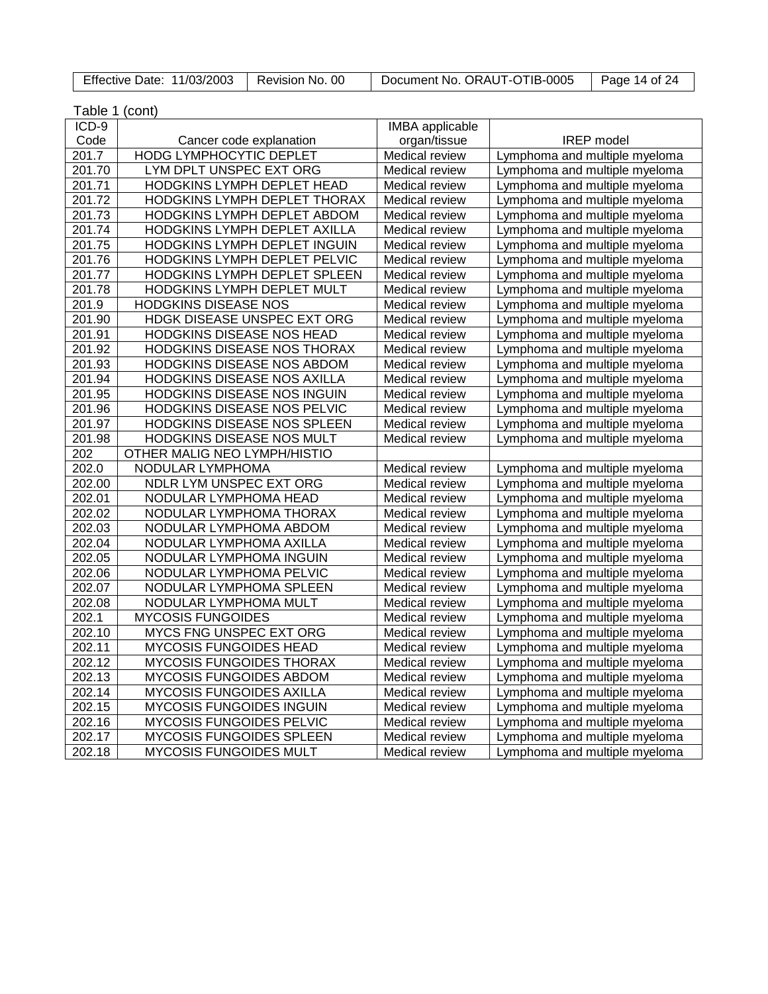| Effective Date: 11/03/2003   Revision No. 00 |  | Document No. ORAUT-OTIB-0005 | Page 14 of 24 |
|----------------------------------------------|--|------------------------------|---------------|
|----------------------------------------------|--|------------------------------|---------------|

| Table 1 (cont) |                                     |                       |                               |
|----------------|-------------------------------------|-----------------------|-------------------------------|
| ICD-9          |                                     | IMBA applicable       |                               |
| Code           | Cancer code explanation             | organ/tissue          | <b>IREP</b> model             |
| 201.7          | HODG LYMPHOCYTIC DEPLET             | Medical review        | Lymphoma and multiple myeloma |
| 201.70         | LYM DPLT UNSPEC EXT ORG             | Medical review        | Lymphoma and multiple myeloma |
| 201.71         | HODGKINS LYMPH DEPLET HEAD          | Medical review        | Lymphoma and multiple myeloma |
| 201.72         | HODGKINS LYMPH DEPLET THORAX        | Medical review        | Lymphoma and multiple myeloma |
| 201.73         | HODGKINS LYMPH DEPLET ABDOM         | Medical review        | Lymphoma and multiple myeloma |
| 201.74         | HODGKINS LYMPH DEPLET AXILLA        | Medical review        | Lymphoma and multiple myeloma |
| 201.75         | HODGKINS LYMPH DEPLET INGUIN        | Medical review        | Lymphoma and multiple myeloma |
| 201.76         | HODGKINS LYMPH DEPLET PELVIC        | Medical review        | Lymphoma and multiple myeloma |
| 201.77         | <b>HODGKINS LYMPH DEPLET SPLEEN</b> | Medical review        | Lymphoma and multiple myeloma |
| 201.78         | HODGKINS LYMPH DEPLET MULT          | Medical review        | Lymphoma and multiple myeloma |
| 201.9          | <b>HODGKINS DISEASE NOS</b>         | Medical review        | Lymphoma and multiple myeloma |
| 201.90         | HDGK DISEASE UNSPEC EXT ORG         | Medical review        | Lymphoma and multiple myeloma |
| 201.91         | HODGKINS DISEASE NOS HEAD           | Medical review        | Lymphoma and multiple myeloma |
| 201.92         | HODGKINS DISEASE NOS THORAX         | Medical review        | Lymphoma and multiple myeloma |
| 201.93         | HODGKINS DISEASE NOS ABDOM          | Medical review        | Lymphoma and multiple myeloma |
| 201.94         | HODGKINS DISEASE NOS AXILLA         | Medical review        | Lymphoma and multiple myeloma |
| 201.95         | HODGKINS DISEASE NOS INGUIN         | Medical review        | Lymphoma and multiple myeloma |
| 201.96         | HODGKINS DISEASE NOS PELVIC         | Medical review        | Lymphoma and multiple myeloma |
| 201.97         | HODGKINS DISEASE NOS SPLEEN         | Medical review        | Lymphoma and multiple myeloma |
| 201.98         | HODGKINS DISEASE NOS MULT           | Medical review        | Lymphoma and multiple myeloma |
| 202            | OTHER MALIG NEO LYMPH/HISTIO        |                       |                               |
| 202.0          | NODULAR LYMPHOMA                    | Medical review        | Lymphoma and multiple myeloma |
| 202.00         | NDLR LYM UNSPEC EXT ORG             | Medical review        | Lymphoma and multiple myeloma |
| 202.01         | NODULAR LYMPHOMA HEAD               | Medical review        | Lymphoma and multiple myeloma |
| 202.02         | NODULAR LYMPHOMA THORAX             | <b>Medical review</b> | Lymphoma and multiple myeloma |
| 202.03         | NODULAR LYMPHOMA ABDOM              | Medical review        | Lymphoma and multiple myeloma |
| 202.04         | NODULAR LYMPHOMA AXILLA             | Medical review        | Lymphoma and multiple myeloma |
| 202.05         | NODULAR LYMPHOMA INGUIN             | Medical review        | Lymphoma and multiple myeloma |
| 202.06         | NODULAR LYMPHOMA PELVIC             | Medical review        | Lymphoma and multiple myeloma |
| 202.07         | NODULAR LYMPHOMA SPLEEN             | Medical review        | Lymphoma and multiple myeloma |
| 202.08         | NODULAR LYMPHOMA MULT               | Medical review        | Lymphoma and multiple myeloma |
| 202.1          | <b>MYCOSIS FUNGOIDES</b>            | Medical review        | Lymphoma and multiple myeloma |
| 202.10         | MYCS FNG UNSPEC EXT ORG             | Medical review        | Lymphoma and multiple myeloma |
| 202.11         | <b>MYCOSIS FUNGOIDES HEAD</b>       | Medical review        | Lymphoma and multiple myeloma |
| 202.12         | MYCOSIS FUNGOIDES THORAX            | Medical review        | Lymphoma and multiple myeloma |
| 202.13         | MYCOSIS FUNGOIDES ABDOM             | Medical review        | Lymphoma and multiple myeloma |
| 202.14         | MYCOSIS FUNGOIDES AXILLA            | Medical review        | Lymphoma and multiple myeloma |
| 202.15         | <b>MYCOSIS FUNGOIDES INGUIN</b>     | Medical review        | Lymphoma and multiple myeloma |
| 202.16         | MYCOSIS FUNGOIDES PELVIC            | Medical review        | Lymphoma and multiple myeloma |
| 202.17         | MYCOSIS FUNGOIDES SPLEEN            | Medical review        | Lymphoma and multiple myeloma |
| 202.18         | MYCOSIS FUNGOIDES MULT              | Medical review        | Lymphoma and multiple myeloma |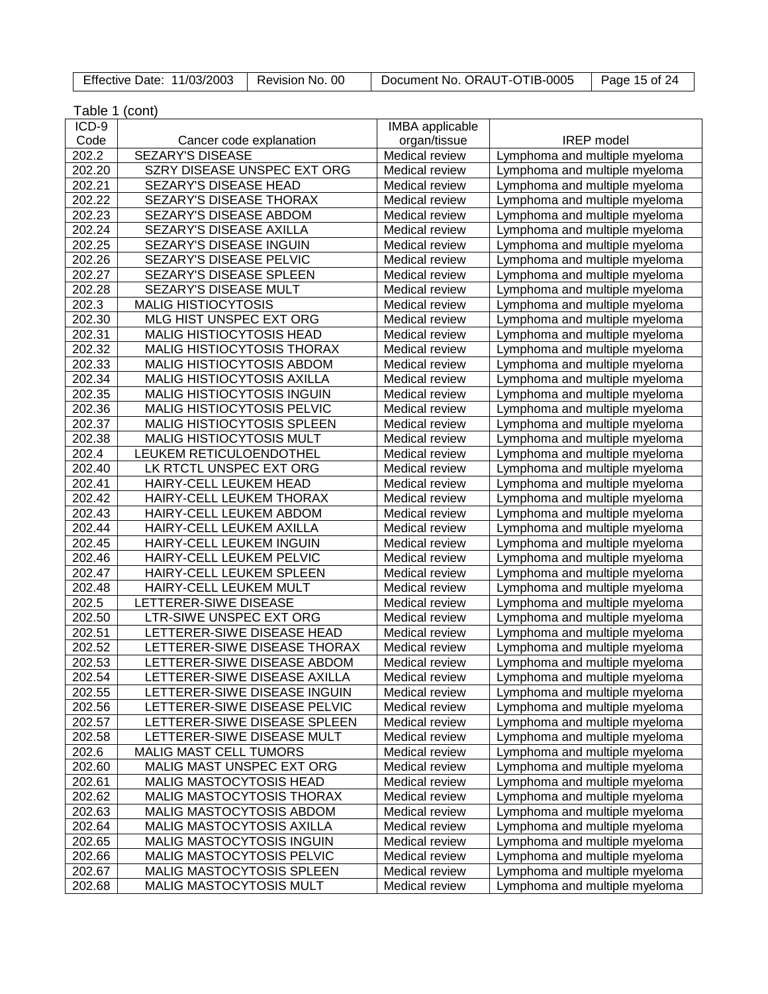| Effective Date: 11/03/2003   Revision No. 00 |  | Document No. ORAUT-OTIB-0005   Page 15 of 24 |  |
|----------------------------------------------|--|----------------------------------------------|--|
|----------------------------------------------|--|----------------------------------------------|--|

| Table 1 (cont)   |                                                              |                                                |                                                                |
|------------------|--------------------------------------------------------------|------------------------------------------------|----------------------------------------------------------------|
| ICD-9            |                                                              | IMBA applicable                                |                                                                |
| Code             | Cancer code explanation                                      | organ/tissue                                   | <b>IREP</b> model                                              |
| 202.2            | <b>SEZARY'S DISEASE</b>                                      | Medical review                                 | Lymphoma and multiple myeloma                                  |
| 202.20           | SZRY DISEASE UNSPEC EXT ORG                                  | Medical review                                 | Lymphoma and multiple myeloma                                  |
| 202.21           | SEZARY'S DISEASE HEAD                                        | Medical review                                 | Lymphoma and multiple myeloma                                  |
| 202.22           | SEZARY'S DISEASE THORAX                                      | Medical review                                 | Lymphoma and multiple myeloma                                  |
| 202.23           | SEZARY'S DISEASE ABDOM                                       | Medical review                                 | Lymphoma and multiple myeloma                                  |
| 202.24           | SEZARY'S DISEASE AXILLA                                      | Medical review                                 | Lymphoma and multiple myeloma                                  |
| 202.25           | SEZARY'S DISEASE INGUIN                                      | Medical review                                 | Lymphoma and multiple myeloma                                  |
| 202.26           | SEZARY'S DISEASE PELVIC                                      | Medical review                                 | Lymphoma and multiple myeloma                                  |
| 202.27           | SEZARY'S DISEASE SPLEEN                                      | <b>Medical review</b>                          | Lymphoma and multiple myeloma                                  |
| 202.28           | SEZARY'S DISEASE MULT                                        | <b>Medical review</b>                          | Lymphoma and multiple myeloma                                  |
| 202.3            | <b>MALIG HISTIOCYTOSIS</b>                                   | <b>Medical review</b>                          | Lymphoma and multiple myeloma                                  |
| 202.30           | MLG HIST UNSPEC EXT ORG                                      | Medical review                                 | Lymphoma and multiple myeloma                                  |
| 202.31           | MALIG HISTIOCYTOSIS HEAD                                     | Medical review                                 | Lymphoma and multiple myeloma                                  |
| 202.32           | <b>MALIG HISTIOCYTOSIS THORAX</b>                            | Medical review                                 | Lymphoma and multiple myeloma                                  |
| 202.33           | MALIG HISTIOCYTOSIS ABDOM                                    | Medical review                                 | Lymphoma and multiple myeloma                                  |
| 202.34           | <b>MALIG HISTIOCYTOSIS AXILLA</b>                            | Medical review                                 | Lymphoma and multiple myeloma                                  |
| 202.35           | <b>MALIG HISTIOCYTOSIS INGUIN</b>                            | Medical review                                 | Lymphoma and multiple myeloma                                  |
| 202.36           | MALIG HISTIOCYTOSIS PELVIC                                   | Medical review                                 | Lymphoma and multiple myeloma                                  |
| 202.37           | <b>MALIG HISTIOCYTOSIS SPLEEN</b>                            | Medical review                                 | Lymphoma and multiple myeloma                                  |
| 202.38           | <b>MALIG HISTIOCYTOSIS MULT</b>                              | <b>Medical review</b>                          | Lymphoma and multiple myeloma                                  |
| 202.4            | LEUKEM RETICULOENDOTHEL                                      | <b>Medical review</b>                          | Lymphoma and multiple myeloma                                  |
| 202.40           | LK RTCTL UNSPEC EXT ORG                                      | <b>Medical review</b>                          |                                                                |
| 202.41           | HAIRY-CELL LEUKEM HEAD                                       |                                                | Lymphoma and multiple myeloma                                  |
| 202.42           | HAIRY-CELL LEUKEM THORAX                                     | <b>Medical review</b><br><b>Medical review</b> | Lymphoma and multiple myeloma<br>Lymphoma and multiple myeloma |
| 202.43           | HAIRY-CELL LEUKEM ABDOM                                      | <b>Medical review</b>                          | Lymphoma and multiple myeloma                                  |
| 202.44           | HAIRY-CELL LEUKEM AXILLA                                     | <b>Medical review</b>                          | Lymphoma and multiple myeloma                                  |
| 202.45           | HAIRY-CELL LEUKEM INGUIN                                     | <b>Medical review</b>                          | Lymphoma and multiple myeloma                                  |
| 202.46           | HAIRY-CELL LEUKEM PELVIC                                     | Medical review                                 | Lymphoma and multiple myeloma                                  |
| 202.47           | HAIRY-CELL LEUKEM SPLEEN                                     | Medical review                                 | Lymphoma and multiple myeloma                                  |
| 202.48           | HAIRY-CELL LEUKEM MULT                                       | Medical review                                 | Lymphoma and multiple myeloma                                  |
| 202.5            | LETTERER-SIWE DISEASE                                        | Medical review                                 |                                                                |
|                  | LTR-SIWE UNSPEC EXT ORG                                      |                                                | Lymphoma and multiple myeloma                                  |
| 202.50           | LETTERER-SIWE DISEASE HEAD                                   | Medical review                                 | Lymphoma and multiple myeloma                                  |
| 202.51<br>202.52 | LETTERER-SIWE DISEASE THORAX                                 | Medical review                                 | Lymphoma and multiple myeloma                                  |
| 202.53           | LETTERER-SIWE DISEASE ABDOM                                  | <b>Medical review</b><br>Medical review        | Lymphoma and multiple myeloma                                  |
|                  |                                                              |                                                | Lymphoma and multiple myeloma                                  |
| 202.54<br>202.55 | LETTERER-SIWE DISEASE AXILLA<br>LETTERER-SIWE DISEASE INGUIN | Medical review                                 | Lymphoma and multiple myeloma                                  |
|                  | LETTERER-SIWE DISEASE PELVIC                                 | Medical review<br>Medical review               | Lymphoma and multiple myeloma<br>Lymphoma and multiple myeloma |
| 202.56<br>202.57 | LETTERER-SIWE DISEASE SPLEEN                                 |                                                |                                                                |
| 202.58           | LETTERER-SIWE DISEASE MULT                                   | Medical review                                 | Lymphoma and multiple myeloma                                  |
|                  | <b>MALIG MAST CELL TUMORS</b>                                | Medical review                                 | Lymphoma and multiple myeloma                                  |
| 202.6            |                                                              | Medical review                                 | Lymphoma and multiple myeloma                                  |
| 202.60           | MALIG MAST UNSPEC EXT ORG                                    | Medical review                                 | Lymphoma and multiple myeloma                                  |
| 202.61           | MALIG MASTOCYTOSIS HEAD<br>MALIG MASTOCYTOSIS THORAX         | Medical review                                 | Lymphoma and multiple myeloma                                  |
| 202.62           |                                                              | Medical review                                 | Lymphoma and multiple myeloma                                  |
| 202.63           | MALIG MASTOCYTOSIS ABDOM<br>MALIG MASTOCYTOSIS AXILLA        | Medical review                                 | Lymphoma and multiple myeloma                                  |
| 202.64           |                                                              | Medical review                                 | Lymphoma and multiple myeloma                                  |
| 202.65           | MALIG MASTOCYTOSIS INGUIN<br>MALIG MASTOCYTOSIS PELVIC       | Medical review                                 | Lymphoma and multiple myeloma                                  |
| 202.66           | MALIG MASTOCYTOSIS SPLEEN                                    | Medical review                                 | Lymphoma and multiple myeloma                                  |
| 202.67           |                                                              | Medical review                                 | Lymphoma and multiple myeloma                                  |
| 202.68           | MALIG MASTOCYTOSIS MULT                                      | Medical review                                 | Lymphoma and multiple myeloma                                  |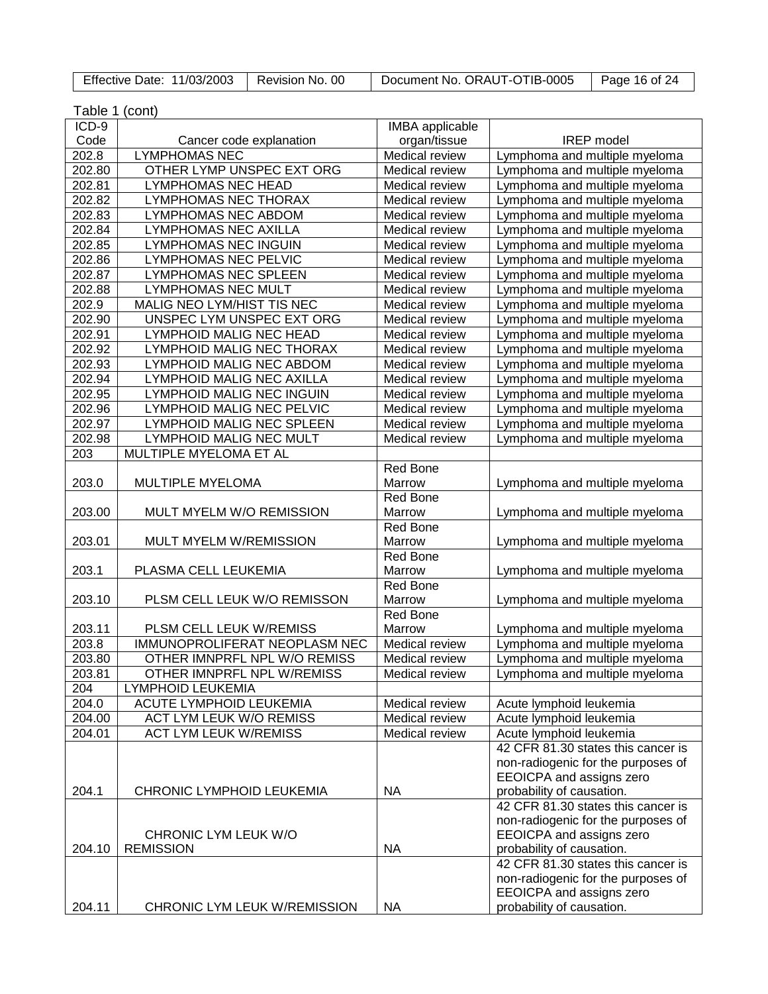| Effective Date: 11/03/2003   Revision No. 00 |  | Document No. ORAUT-OTIB-0005 | $\vert$ Page 16 of 24 |
|----------------------------------------------|--|------------------------------|-----------------------|
|----------------------------------------------|--|------------------------------|-----------------------|

| Table 1 (cont) |                               |                        |                                    |
|----------------|-------------------------------|------------------------|------------------------------------|
| ICD-9          |                               | <b>IMBA</b> applicable |                                    |
| Code           | Cancer code explanation       | organ/tissue           | <b>IREP</b> model                  |
| 202.8          | <b>LYMPHOMAS NEC</b>          | Medical review         | Lymphoma and multiple myeloma      |
| 202.80         | OTHER LYMP UNSPEC EXT ORG     | Medical review         | Lymphoma and multiple myeloma      |
| 202.81         | LYMPHOMAS NEC HEAD            | Medical review         | Lymphoma and multiple myeloma      |
| 202.82         | LYMPHOMAS NEC THORAX          | Medical review         | Lymphoma and multiple myeloma      |
| 202.83         | LYMPHOMAS NEC ABDOM           | Medical review         | Lymphoma and multiple myeloma      |
| 202.84         | <b>LYMPHOMAS NEC AXILLA</b>   | Medical review         | Lymphoma and multiple myeloma      |
| 202.85         | <b>LYMPHOMAS NEC INGUIN</b>   | Medical review         | Lymphoma and multiple myeloma      |
| 202.86         | <b>LYMPHOMAS NEC PELVIC</b>   | Medical review         | Lymphoma and multiple myeloma      |
| 202.87         | <b>LYMPHOMAS NEC SPLEEN</b>   | Medical review         | Lymphoma and multiple myeloma      |
| 202.88         | <b>LYMPHOMAS NEC MULT</b>     | Medical review         | Lymphoma and multiple myeloma      |
| 202.9          | MALIG NEO LYM/HIST TIS NEC    | Medical review         | Lymphoma and multiple myeloma      |
| 202.90         | UNSPEC LYM UNSPEC EXT ORG     | Medical review         | Lymphoma and multiple myeloma      |
| 202.91         | LYMPHOID MALIG NEC HEAD       | Medical review         | Lymphoma and multiple myeloma      |
| 202.92         | LYMPHOID MALIG NEC THORAX     | Medical review         | Lymphoma and multiple myeloma      |
| 202.93         | LYMPHOID MALIG NEC ABDOM      | Medical review         | Lymphoma and multiple myeloma      |
| 202.94         | LYMPHOID MALIG NEC AXILLA     | Medical review         | Lymphoma and multiple myeloma      |
| 202.95         | LYMPHOID MALIG NEC INGUIN     | Medical review         | Lymphoma and multiple myeloma      |
| 202.96         | LYMPHOID MALIG NEC PELVIC     | Medical review         | Lymphoma and multiple myeloma      |
| 202.97         | LYMPHOID MALIG NEC SPLEEN     | Medical review         | Lymphoma and multiple myeloma      |
| 202.98         | LYMPHOID MALIG NEC MULT       | Medical review         | Lymphoma and multiple myeloma      |
| 203            | MULTIPLE MYELOMA ET AL        |                        |                                    |
|                |                               | Red Bone               |                                    |
| 203.0          | MULTIPLE MYELOMA              | Marrow                 | Lymphoma and multiple myeloma      |
|                |                               | Red Bone               |                                    |
| 203.00         | MULT MYELM W/O REMISSION      | Marrow                 | Lymphoma and multiple myeloma      |
|                |                               | Red Bone               |                                    |
| 203.01         | MULT MYELM W/REMISSION        | Marrow                 | Lymphoma and multiple myeloma      |
|                |                               | Red Bone               |                                    |
| 203.1          | PLASMA CELL LEUKEMIA          | Marrow                 | Lymphoma and multiple myeloma      |
|                |                               | Red Bone               |                                    |
| 203.10         | PLSM CELL LEUK W/O REMISSON   | Marrow                 | Lymphoma and multiple myeloma      |
|                |                               | Red Bone               |                                    |
| 203.11         | PLSM CELL LEUK W/REMISS       | Marrow                 | Lymphoma and multiple myeloma      |
| 203.8          | IMMUNOPROLIFERAT NEOPLASM NEC | Medical review         | Lymphoma and multiple myeloma      |
| 203.80         | OTHER IMNPRFL NPL W/O REMISS  | Medical review         | Lymphoma and multiple myeloma      |
| 203.81         | OTHER IMNPRFL NPL W/REMISS    | Medical review         | Lymphoma and multiple myeloma      |
| 204            | <b>LYMPHOID LEUKEMIA</b>      |                        |                                    |
| 204.0          | ACUTE LYMPHOID LEUKEMIA       | Medical review         | Acute lymphoid leukemia            |
| 204.00         | ACT LYM LEUK W/O REMISS       | Medical review         | Acute lymphoid leukemia            |
| 204.01         | <b>ACT LYM LEUK W/REMISS</b>  | Medical review         | Acute lymphoid leukemia            |
|                |                               |                        | 42 CFR 81.30 states this cancer is |
|                |                               |                        | non-radiogenic for the purposes of |
|                |                               |                        | EEOICPA and assigns zero           |
| 204.1          | CHRONIC LYMPHOID LEUKEMIA     | <b>NA</b>              | probability of causation.          |
|                |                               |                        | 42 CFR 81.30 states this cancer is |
|                |                               |                        | non-radiogenic for the purposes of |
|                | CHRONIC LYM LEUK W/O          |                        | EEOICPA and assigns zero           |
| 204.10         | <b>REMISSION</b>              | <b>NA</b>              | probability of causation.          |
|                |                               |                        | 42 CFR 81.30 states this cancer is |
|                |                               |                        | non-radiogenic for the purposes of |
|                |                               |                        | EEOICPA and assigns zero           |
| 204.11         | CHRONIC LYM LEUK W/REMISSION  | <b>NA</b>              | probability of causation.          |
|                |                               |                        |                                    |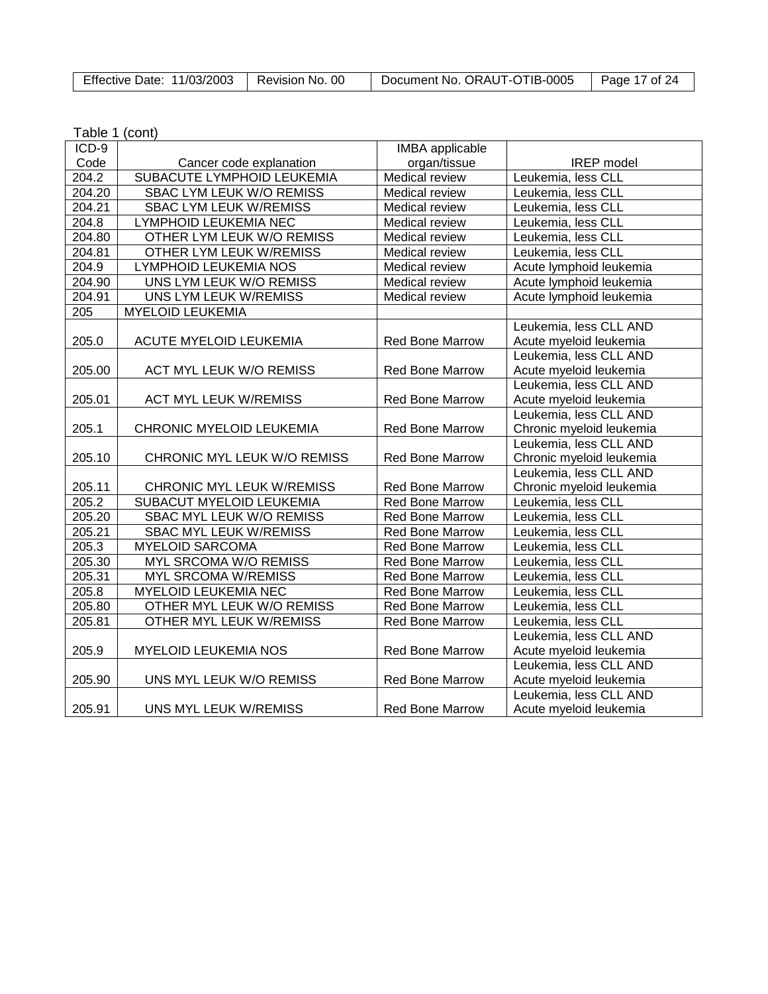| <b>Effective Date: 11/03/2003</b> | Revision No. 00 | Document No. ORAUT-OTIB-0005 | Page 17 of 24 |
|-----------------------------------|-----------------|------------------------------|---------------|
|-----------------------------------|-----------------|------------------------------|---------------|

| Table 1 (cont) |  |
|----------------|--|
|----------------|--|

| ICD-9  |                                  | IMBA applicable        |                          |
|--------|----------------------------------|------------------------|--------------------------|
| Code   | Cancer code explanation          | organ/tissue           | <b>IREP</b> model        |
| 204.2  | SUBACUTE LYMPHOID LEUKEMIA       | Medical review         | Leukemia, less CLL       |
| 204.20 | SBAC LYM LEUK W/O REMISS         | Medical review         | Leukemia, less CLL       |
| 204.21 | <b>SBAC LYM LEUK W/REMISS</b>    | Medical review         | Leukemia, less CLL       |
| 204.8  | <b>LYMPHOID LEUKEMIA NEC</b>     | Medical review         | Leukemia, less CLL       |
| 204.80 | OTHER LYM LEUK W/O REMISS        | Medical review         | Leukemia, less CLL       |
| 204.81 | OTHER LYM LEUK W/REMISS          | Medical review         | Leukemia, less CLL       |
| 204.9  | <b>LYMPHOID LEUKEMIA NOS</b>     | Medical review         | Acute lymphoid leukemia  |
| 204.90 | UNS LYM LEUK W/O REMISS          | Medical review         | Acute lymphoid leukemia  |
| 204.91 | UNS LYM LEUK W/REMISS            | Medical review         | Acute lymphoid leukemia  |
| 205    | <b>MYELOID LEUKEMIA</b>          |                        |                          |
|        |                                  |                        | Leukemia, less CLL AND   |
| 205.0  | <b>ACUTE MYELOID LEUKEMIA</b>    | Red Bone Marrow        | Acute myeloid leukemia   |
|        |                                  |                        | Leukemia, less CLL AND   |
| 205.00 | <b>ACT MYL LEUK W/O REMISS</b>   | Red Bone Marrow        | Acute myeloid leukemia   |
|        |                                  |                        | Leukemia, less CLL AND   |
| 205.01 | <b>ACT MYL LEUK W/REMISS</b>     | Red Bone Marrow        | Acute myeloid leukemia   |
|        |                                  |                        | Leukemia, less CLL AND   |
| 205.1  | CHRONIC MYELOID LEUKEMIA         | Red Bone Marrow        | Chronic myeloid leukemia |
|        |                                  |                        | Leukemia, less CLL AND   |
| 205.10 | CHRONIC MYL LEUK W/O REMISS      | <b>Red Bone Marrow</b> | Chronic myeloid leukemia |
|        |                                  |                        | Leukemia, less CLL AND   |
| 205.11 | <b>CHRONIC MYL LEUK W/REMISS</b> | Red Bone Marrow        | Chronic myeloid leukemia |
| 205.2  | SUBACUT MYELOID LEUKEMIA         | Red Bone Marrow        | Leukemia, less CLL       |
| 205.20 | SBAC MYL LEUK W/O REMISS         | Red Bone Marrow        | Leukemia, less CLL       |
| 205.21 | <b>SBAC MYL LEUK W/REMISS</b>    | <b>Red Bone Marrow</b> | Leukemia, less CLL       |
| 205.3  | <b>MYELOID SARCOMA</b>           | <b>Red Bone Marrow</b> | Leukemia, less CLL       |
| 205.30 | MYL SRCOMA W/O REMISS            | <b>Red Bone Marrow</b> | Leukemia, less CLL       |
| 205.31 | <b>MYL SRCOMA W/REMISS</b>       | <b>Red Bone Marrow</b> | Leukemia, less CLL       |
| 205.8  | <b>MYELOID LEUKEMIA NEC</b>      | <b>Red Bone Marrow</b> | Leukemia, less CLL       |
| 205.80 | OTHER MYL LEUK W/O REMISS        | Red Bone Marrow        | Leukemia, less CLL       |
| 205.81 | OTHER MYL LEUK W/REMISS          | Red Bone Marrow        | Leukemia, less CLL       |
|        |                                  |                        | Leukemia, less CLL AND   |
| 205.9  | <b>MYELOID LEUKEMIA NOS</b>      | Red Bone Marrow        | Acute myeloid leukemia   |
|        |                                  |                        | Leukemia, less CLL AND   |
| 205.90 | UNS MYL LEUK W/O REMISS          | Red Bone Marrow        | Acute myeloid leukemia   |
|        |                                  |                        | Leukemia, less CLL AND   |
| 205.91 | UNS MYL LEUK W/REMISS            | <b>Red Bone Marrow</b> | Acute myeloid leukemia   |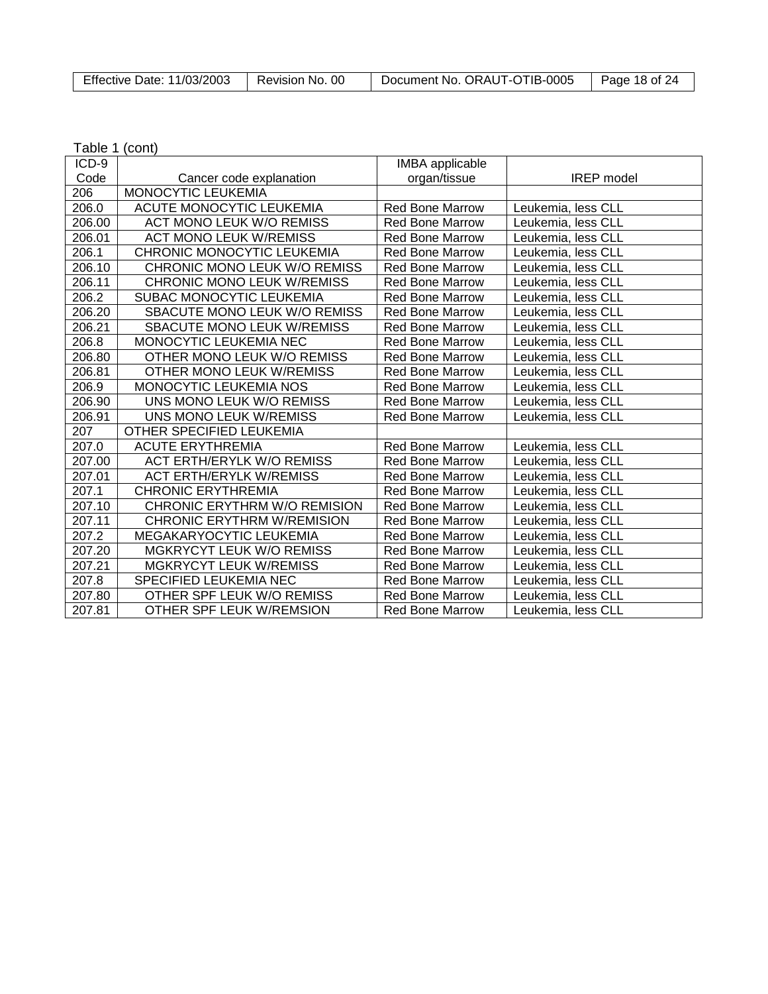| Effective Date: 11/03/2003 | Revision No. 00 | Document No. ORAUT-OTIB-0005 | Page 18 of 24 |
|----------------------------|-----------------|------------------------------|---------------|

| $ICD-9$ |                                   | <b>IMBA</b> applicable |                    |
|---------|-----------------------------------|------------------------|--------------------|
| Code    | Cancer code explanation           | organ/tissue           | <b>IREP</b> model  |
| 206     | MONOCYTIC LEUKEMIA                |                        |                    |
| 206.0   | ACUTE MONOCYTIC LEUKEMIA          | <b>Red Bone Marrow</b> | Leukemia, less CLL |
| 206.00  | <b>ACT MONO LEUK W/O REMISS</b>   | <b>Red Bone Marrow</b> | Leukemia, less CLL |
| 206.01  | <b>ACT MONO LEUK W/REMISS</b>     | <b>Red Bone Marrow</b> | Leukemia, less CLL |
| 206.1   | CHRONIC MONOCYTIC LEUKEMIA        | <b>Red Bone Marrow</b> | Leukemia, less CLL |
| 206.10  | CHRONIC MONO LEUK W/O REMISS      | <b>Red Bone Marrow</b> | Leukemia, less CLL |
| 206.11  | CHRONIC MONO LEUK W/REMISS        | <b>Red Bone Marrow</b> | Leukemia, less CLL |
| 206.2   | SUBAC MONOCYTIC LEUKEMIA          | <b>Red Bone Marrow</b> | Leukemia, less CLL |
| 206.20  | SBACUTE MONO LEUK W/O REMISS      | <b>Red Bone Marrow</b> | Leukemia, less CLL |
| 206.21  | SBACUTE MONO LEUK W/REMISS        | <b>Red Bone Marrow</b> | Leukemia, less CLL |
| 206.8   | MONOCYTIC LEUKEMIA NEC            | <b>Red Bone Marrow</b> | Leukemia, less CLL |
| 206.80  | OTHER MONO LEUK W/O REMISS        | <b>Red Bone Marrow</b> | Leukemia, less CLL |
| 206.81  | OTHER MONO LEUK W/REMISS          | <b>Red Bone Marrow</b> | Leukemia, less CLL |
| 206.9   | MONOCYTIC LEUKEMIA NOS            | Red Bone Marrow        | Leukemia, less CLL |
| 206.90  | UNS MONO LEUK W/O REMISS          | <b>Red Bone Marrow</b> | Leukemia, less CLL |
| 206.91  | UNS MONO LEUK W/REMISS            | <b>Red Bone Marrow</b> | Leukemia, less CLL |
| 207     | OTHER SPECIFIED LEUKEMIA          |                        |                    |
| 207.0   | <b>ACUTE ERYTHREMIA</b>           | <b>Red Bone Marrow</b> | Leukemia, less CLL |
| 207.00  | <b>ACT ERTH/ERYLK W/O REMISS</b>  | <b>Red Bone Marrow</b> | Leukemia, less CLL |
| 207.01  | <b>ACT ERTH/ERYLK W/REMISS</b>    | <b>Red Bone Marrow</b> | Leukemia, less CLL |
| 207.1   | <b>CHRONIC ERYTHREMIA</b>         | <b>Red Bone Marrow</b> | Leukemia, less CLL |
| 207.10  | CHRONIC ERYTHRM W/O REMISION      | <b>Red Bone Marrow</b> | Leukemia, less CLL |
| 207.11  | <b>CHRONIC ERYTHRM W/REMISION</b> | <b>Red Bone Marrow</b> | Leukemia, less CLL |
| 207.2   | MEGAKARYOCYTIC LEUKEMIA           | <b>Red Bone Marrow</b> | Leukemia, less CLL |
| 207.20  | MGKRYCYT LEUK W/O REMISS          | <b>Red Bone Marrow</b> | Leukemia, less CLL |
| 207.21  | <b>MGKRYCYT LEUK W/REMISS</b>     | <b>Red Bone Marrow</b> | Leukemia, less CLL |
| 207.8   | SPECIFIED LEUKEMIA NEC            | <b>Red Bone Marrow</b> | Leukemia, less CLL |
| 207.80  | OTHER SPF LEUK W/O REMISS         | <b>Red Bone Marrow</b> | Leukemia, less CLL |
| 207.81  | OTHER SPF LEUK W/REMSION          | <b>Red Bone Marrow</b> | Leukemia, less CLL |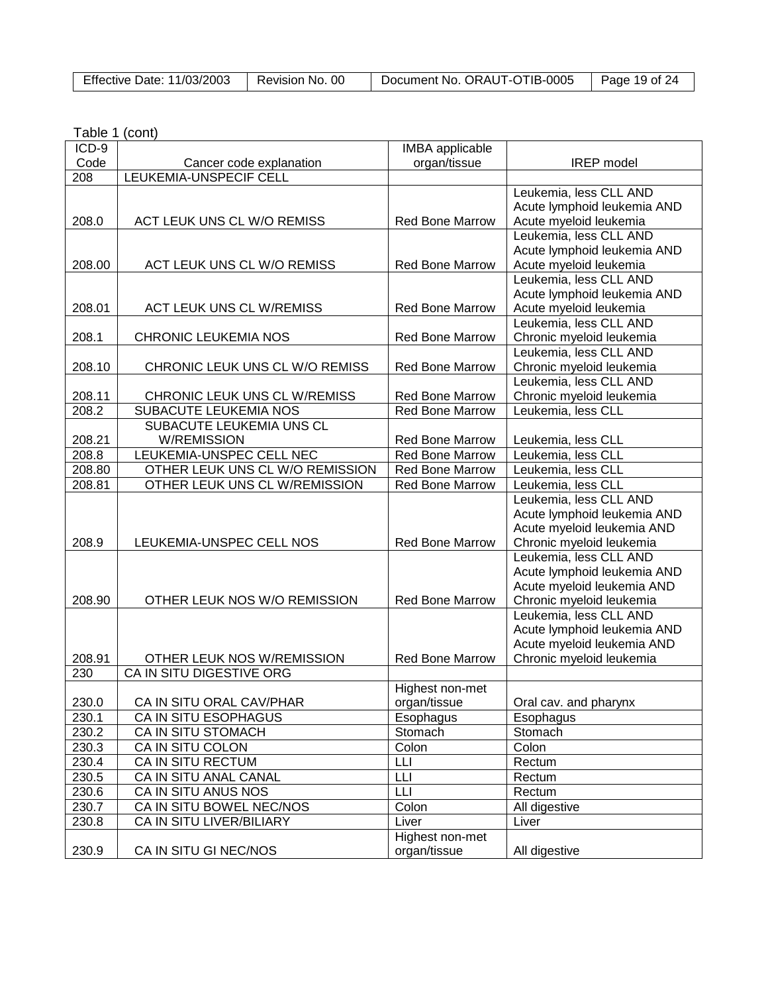|--|

| ICD-9  |                                 | <b>IMBA</b> applicable |                                                    |
|--------|---------------------------------|------------------------|----------------------------------------------------|
| Code   | Cancer code explanation         | organ/tissue           | <b>IREP</b> model                                  |
| 208    | LEUKEMIA-UNSPECIF CELL          |                        |                                                    |
|        |                                 |                        | Leukemia, less CLL AND                             |
|        |                                 |                        | Acute lymphoid leukemia AND                        |
| 208.0  | ACT LEUK UNS CL W/O REMISS      | <b>Red Bone Marrow</b> | Acute myeloid leukemia                             |
|        |                                 |                        | Leukemia, less CLL AND                             |
|        |                                 |                        | Acute lymphoid leukemia AND                        |
| 208.00 | ACT LEUK UNS CL W/O REMISS      | Red Bone Marrow        | Acute myeloid leukemia                             |
|        |                                 |                        | Leukemia, less CLL AND                             |
|        |                                 |                        | Acute lymphoid leukemia AND                        |
| 208.01 | <b>ACT LEUK UNS CL W/REMISS</b> | <b>Red Bone Marrow</b> | Acute myeloid leukemia                             |
|        |                                 |                        | Leukemia, less CLL AND                             |
| 208.1  | <b>CHRONIC LEUKEMIA NOS</b>     | <b>Red Bone Marrow</b> | Chronic myeloid leukemia                           |
|        |                                 |                        | Leukemia, less CLL AND                             |
| 208.10 | CHRONIC LEUK UNS CL W/O REMISS  | <b>Red Bone Marrow</b> | Chronic myeloid leukemia                           |
|        |                                 |                        | Leukemia, less CLL AND                             |
| 208.11 | CHRONIC LEUK UNS CL W/REMISS    | <b>Red Bone Marrow</b> | Chronic myeloid leukemia                           |
| 208.2  | SUBACUTE LEUKEMIA NOS           | <b>Red Bone Marrow</b> | Leukemia, less CLL                                 |
|        | SUBACUTE LEUKEMIA UNS CL        |                        |                                                    |
| 208.21 | <b>W/REMISSION</b>              | <b>Red Bone Marrow</b> | Leukemia, less CLL                                 |
| 208.8  | LEUKEMIA-UNSPEC CELL NEC        | Red Bone Marrow        | Leukemia, less CLL                                 |
| 208.80 | OTHER LEUK UNS CL W/O REMISSION | <b>Red Bone Marrow</b> | Leukemia, less CLL                                 |
| 208.81 | OTHER LEUK UNS CL W/REMISSION   | <b>Red Bone Marrow</b> | Leukemia, less CLL                                 |
|        |                                 |                        | Leukemia, less CLL AND                             |
|        |                                 |                        | Acute lymphoid leukemia AND                        |
|        |                                 |                        | Acute myeloid leukemia AND                         |
| 208.9  | LEUKEMIA-UNSPEC CELL NOS        | <b>Red Bone Marrow</b> | Chronic myeloid leukemia                           |
|        |                                 |                        | Leukemia, less CLL AND                             |
|        |                                 |                        | Acute lymphoid leukemia AND                        |
| 208.90 | OTHER LEUK NOS W/O REMISSION    | <b>Red Bone Marrow</b> | Acute myeloid leukemia AND                         |
|        |                                 |                        | Chronic myeloid leukemia<br>Leukemia, less CLL AND |
|        |                                 |                        | Acute lymphoid leukemia AND                        |
|        |                                 |                        | Acute myeloid leukemia AND                         |
| 208.91 | OTHER LEUK NOS W/REMISSION      | <b>Red Bone Marrow</b> | Chronic myeloid leukemia                           |
| 230    | CA IN SITU DIGESTIVE ORG        |                        |                                                    |
|        |                                 | Highest non-met        |                                                    |
| 230.0  | CA IN SITU ORAL CAV/PHAR        | organ/tissue           | Oral cav. and pharynx                              |
| 230.1  | CA IN SITU ESOPHAGUS            | Esophagus              | Esophagus                                          |
| 230.2  | CA IN SITU STOMACH              | Stomach                | Stomach                                            |
| 230.3  | <b>CA IN SITU COLON</b>         | Colon                  | Colon                                              |
| 230.4  | CA IN SITU RECTUM               | LЦ                     | Rectum                                             |
| 230.5  | CA IN SITU ANAL CANAL           | LЦ                     | Rectum                                             |
| 230.6  | CA IN SITU ANUS NOS             | LLI                    | Rectum                                             |
| 230.7  | CA IN SITU BOWEL NEC/NOS        | Colon                  | All digestive                                      |
| 230.8  | CA IN SITU LIVER/BILIARY        | Liver                  | Liver                                              |
|        |                                 | Highest non-met        |                                                    |
| 230.9  | CA IN SITU GI NEC/NOS           | organ/tissue           | All digestive                                      |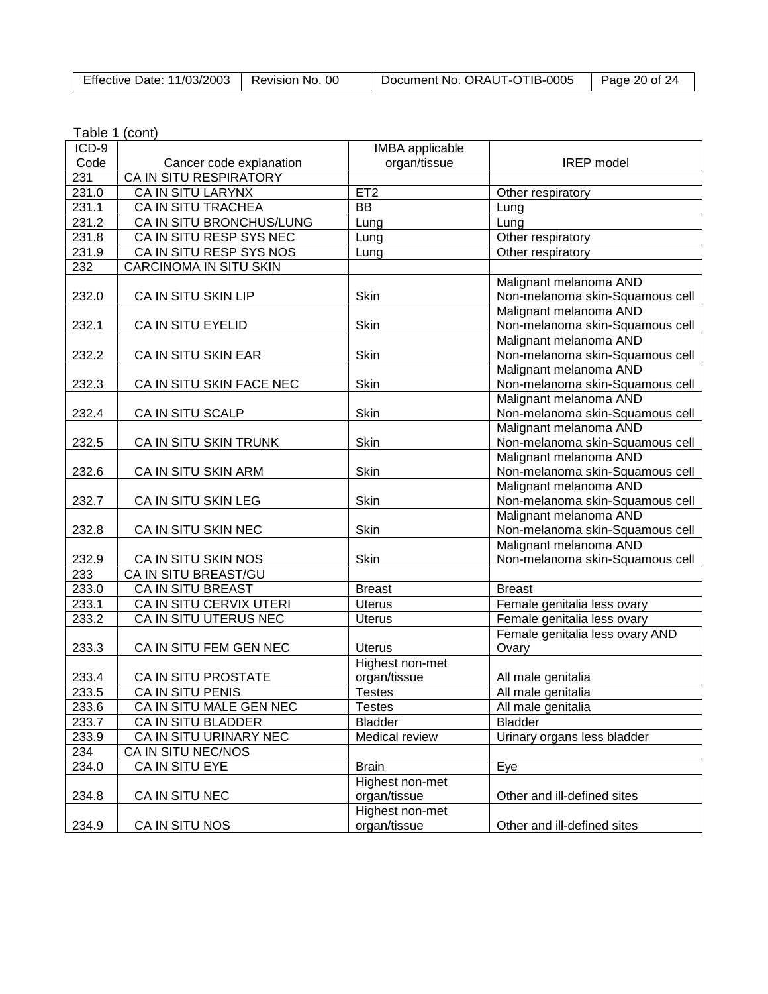| Effective Date: 11/03/2003 | Revision No. 00 | Document No. ORAUT-OTIB-0005 | Page 20 of 24 |
|----------------------------|-----------------|------------------------------|---------------|
|----------------------------|-----------------|------------------------------|---------------|

| Table 1 (cont) |  |
|----------------|--|
|----------------|--|

| ICD-9 |                          | <b>IMBA</b> applicable |                                                           |
|-------|--------------------------|------------------------|-----------------------------------------------------------|
| Code  | Cancer code explanation  | organ/tissue           | <b>IREP</b> model                                         |
| 231   | CA IN SITU RESPIRATORY   |                        |                                                           |
| 231.0 | CA IN SITU LARYNX        | ET <sub>2</sub>        | Other respiratory                                         |
| 231.1 | CA IN SITU TRACHEA       | $\overline{BB}$        | Lung                                                      |
| 231.2 | CA IN SITU BRONCHUS/LUNG | Lung                   | Lung                                                      |
| 231.8 | CA IN SITU RESP SYS NEC  | Lung                   | Other respiratory                                         |
| 231.9 | CA IN SITU RESP SYS NOS  | Lung                   | Other respiratory                                         |
| 232   | CARCINOMA IN SITU SKIN   |                        |                                                           |
| 232.0 | CA IN SITU SKIN LIP      | Skin                   | Malignant melanoma AND<br>Non-melanoma skin-Squamous cell |
| 232.1 | CA IN SITU EYELID        | Skin                   | Malignant melanoma AND<br>Non-melanoma skin-Squamous cell |
| 232.2 | CA IN SITU SKIN EAR      | Skin                   | Malignant melanoma AND<br>Non-melanoma skin-Squamous cell |
| 232.3 | CA IN SITU SKIN FACE NEC | Skin                   | Malignant melanoma AND<br>Non-melanoma skin-Squamous cell |
|       |                          |                        | Malignant melanoma AND                                    |
| 232.4 | CA IN SITU SCALP         | Skin                   | Non-melanoma skin-Squamous cell                           |
|       |                          |                        | Malignant melanoma AND                                    |
| 232.5 | CA IN SITU SKIN TRUNK    | Skin                   | Non-melanoma skin-Squamous cell                           |
|       |                          |                        | Malignant melanoma AND                                    |
| 232.6 | CA IN SITU SKIN ARM      | Skin                   | Non-melanoma skin-Squamous cell                           |
|       |                          |                        | Malignant melanoma AND                                    |
| 232.7 | CA IN SITU SKIN LEG      | Skin                   | Non-melanoma skin-Squamous cell                           |
|       |                          |                        | Malignant melanoma AND                                    |
| 232.8 | CA IN SITU SKIN NEC      | Skin                   | Non-melanoma skin-Squamous cell                           |
|       |                          |                        | Malignant melanoma AND                                    |
| 232.9 | CA IN SITU SKIN NOS      | Skin                   | Non-melanoma skin-Squamous cell                           |
| 233   | CA IN SITU BREAST/GU     |                        |                                                           |
| 233.0 | CA IN SITU BREAST        | <b>Breast</b>          | <b>Breast</b>                                             |
| 233.1 | CA IN SITU CERVIX UTERI  | <b>Uterus</b>          | Female genitalia less ovary                               |
| 233.2 | CA IN SITU UTERUS NEC    | <b>Uterus</b>          | Female genitalia less ovary                               |
|       |                          |                        | Female genitalia less ovary AND                           |
| 233.3 | CA IN SITU FEM GEN NEC   | <b>Uterus</b>          | Ovary                                                     |
|       |                          | Highest non-met        |                                                           |
| 233.4 | CA IN SITU PROSTATE      | organ/tissue           | All male genitalia                                        |
| 233.5 | CA IN SITU PENIS         | <b>Testes</b>          | All male genitalia                                        |
| 233.6 | CA IN SITU MALE GEN NEC  | Testes                 | All male genitalia                                        |
| 233.7 | CA IN SITU BLADDER       | <b>Bladder</b>         | <b>Bladder</b>                                            |
| 233.9 | CA IN SITU URINARY NEC   | Medical review         | Urinary organs less bladder                               |
| 234   | CA IN SITU NEC/NOS       |                        |                                                           |
| 234.0 | CA IN SITU EYE           | <b>Brain</b>           |                                                           |
|       |                          | Highest non-met        | Eye                                                       |
| 234.8 | CA IN SITU NEC           | organ/tissue           | Other and ill-defined sites                               |
|       |                          | Highest non-met        |                                                           |
|       | CA IN SITU NOS           |                        |                                                           |
| 234.9 |                          | organ/tissue           | Other and ill-defined sites                               |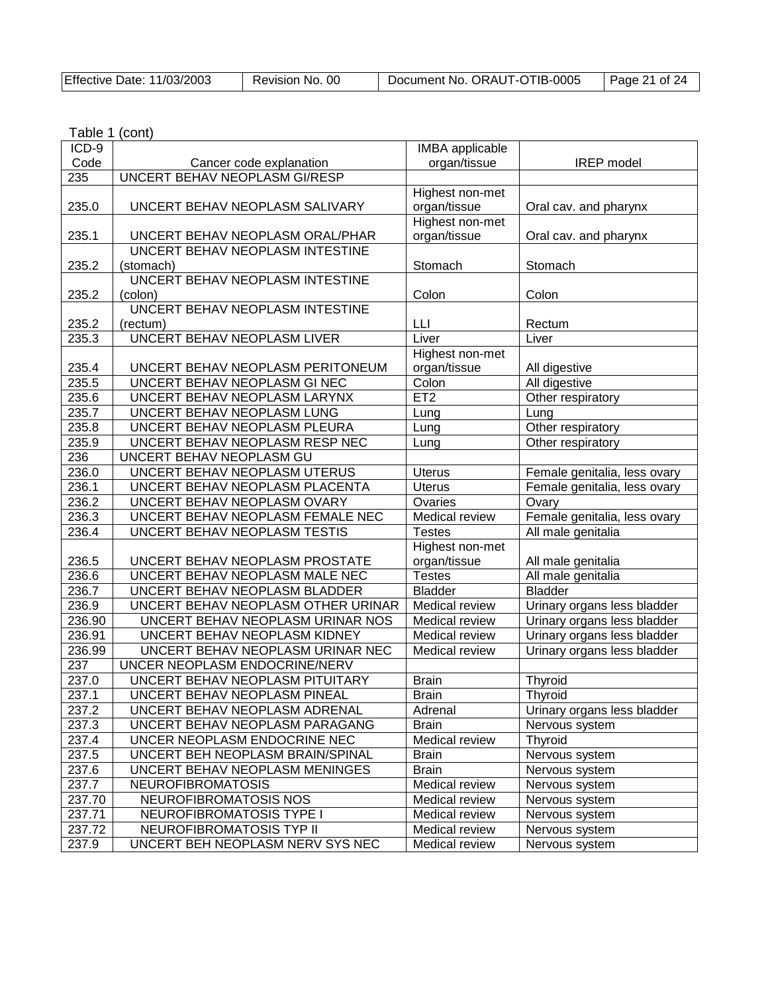| Effective Date: 11/03/2003 | Revision No. 00 | Document No. ORAUT-OTIB-0005 | $\vert$ Page 21 of 24 |
|----------------------------|-----------------|------------------------------|-----------------------|
|----------------------------|-----------------|------------------------------|-----------------------|

| ICD-9  |                                    | <b>IMBA</b> applicable |                              |
|--------|------------------------------------|------------------------|------------------------------|
| Code   | Cancer code explanation            | organ/tissue           | <b>IREP</b> model            |
| 235    | UNCERT BEHAV NEOPLASM GI/RESP      |                        |                              |
|        |                                    | Highest non-met        |                              |
| 235.0  | UNCERT BEHAV NEOPLASM SALIVARY     | organ/tissue           | Oral cav. and pharynx        |
|        |                                    | Highest non-met        |                              |
| 235.1  | UNCERT BEHAV NEOPLASM ORAL/PHAR    | organ/tissue           | Oral cav. and pharynx        |
|        | UNCERT BEHAV NEOPLASM INTESTINE    |                        |                              |
| 235.2  | (stomach)                          | Stomach                | Stomach                      |
|        | UNCERT BEHAV NEOPLASM INTESTINE    |                        |                              |
| 235.2  | (colon)                            | Colon                  | Colon                        |
|        | UNCERT BEHAV NEOPLASM INTESTINE    |                        |                              |
| 235.2  | (rectum)                           | LLI                    | Rectum                       |
| 235.3  | UNCERT BEHAV NEOPLASM LIVER        | Liver                  | Liver                        |
|        |                                    | Highest non-met        |                              |
| 235.4  | UNCERT BEHAV NEOPLASM PERITONEUM   | organ/tissue           | All digestive                |
| 235.5  | UNCERT BEHAV NEOPLASM GI NEC       | Colon                  | All digestive                |
| 235.6  | UNCERT BEHAV NEOPLASM LARYNX       | ET <sub>2</sub>        | Other respiratory            |
| 235.7  | UNCERT BEHAV NEOPLASM LUNG         | Lung                   | Lung                         |
| 235.8  | UNCERT BEHAV NEOPLASM PLEURA       | Lung                   | Other respiratory            |
| 235.9  | UNCERT BEHAV NEOPLASM RESP NEC     | Lung                   | Other respiratory            |
| 236    | UNCERT BEHAV NEOPLASM GU           |                        |                              |
| 236.0  | UNCERT BEHAV NEOPLASM UTERUS       | <b>Uterus</b>          |                              |
| 236.1  |                                    | <b>Uterus</b>          | Female genitalia, less ovary |
|        | UNCERT BEHAV NEOPLASM PLACENTA     |                        | Female genitalia, less ovary |
| 236.2  | UNCERT BEHAV NEOPLASM OVARY        | Ovaries                | Ovary                        |
| 236.3  | UNCERT BEHAV NEOPLASM FEMALE NEC   | Medical review         | Female genitalia, less ovary |
| 236.4  | UNCERT BEHAV NEOPLASM TESTIS       | <b>Testes</b>          | All male genitalia           |
|        |                                    | Highest non-met        |                              |
| 236.5  | UNCERT BEHAV NEOPLASM PROSTATE     | organ/tissue           | All male genitalia           |
| 236.6  | UNCERT BEHAV NEOPLASM MALE NEC     | <b>Testes</b>          | All male genitalia           |
| 236.7  | UNCERT BEHAV NEOPLASM BLADDER      | <b>Bladder</b>         | <b>Bladder</b>               |
| 236.9  | UNCERT BEHAV NEOPLASM OTHER URINAR | Medical review         | Urinary organs less bladder  |
| 236.90 | UNCERT BEHAV NEOPLASM URINAR NOS   | Medical review         | Urinary organs less bladder  |
| 236.91 | UNCERT BEHAV NEOPLASM KIDNEY       | Medical review         | Urinary organs less bladder  |
| 236.99 | UNCERT BEHAV NEOPLASM URINAR NEC   | Medical review         | Urinary organs less bladder  |
| 237    | UNCER NEOPLASM ENDOCRINE/NERV      |                        |                              |
| 237.0  | UNCERT BEHAV NEOPLASM PITUITARY    | <b>Brain</b>           | Thyroid                      |
| 237.1  | UNCERT BEHAV NEOPLASM PINEAL       | <b>Brain</b>           | Thyroid                      |
| 237.2  | UNCERT BEHAV NEOPLASM ADRENAL      | Adrenal                | Urinary organs less bladder  |
| 237.3  | UNCERT BEHAV NEOPLASM PARAGANG     | <b>Brain</b>           | Nervous system               |
| 237.4  | UNCER NEOPLASM ENDOCRINE NEC       | Medical review         | Thyroid                      |
| 237.5  | UNCERT BEH NEOPLASM BRAIN/SPINAL   | <b>Brain</b>           | Nervous system               |
| 237.6  | UNCERT BEHAV NEOPLASM MENINGES     | <b>Brain</b>           | Nervous system               |
| 237.7  | <b>NEUROFIBROMATOSIS</b>           | Medical review         | Nervous system               |
| 237.70 | NEUROFIBROMATOSIS NOS              | Medical review         | Nervous system               |
| 237.71 | NEUROFIBROMATOSIS TYPE I           | Medical review         | Nervous system               |
| 237.72 | NEUROFIBROMATOSIS TYP II           | Medical review         | Nervous system               |
| 237.9  | UNCERT BEH NEOPLASM NERV SYS NEC   | Medical review         | Nervous system               |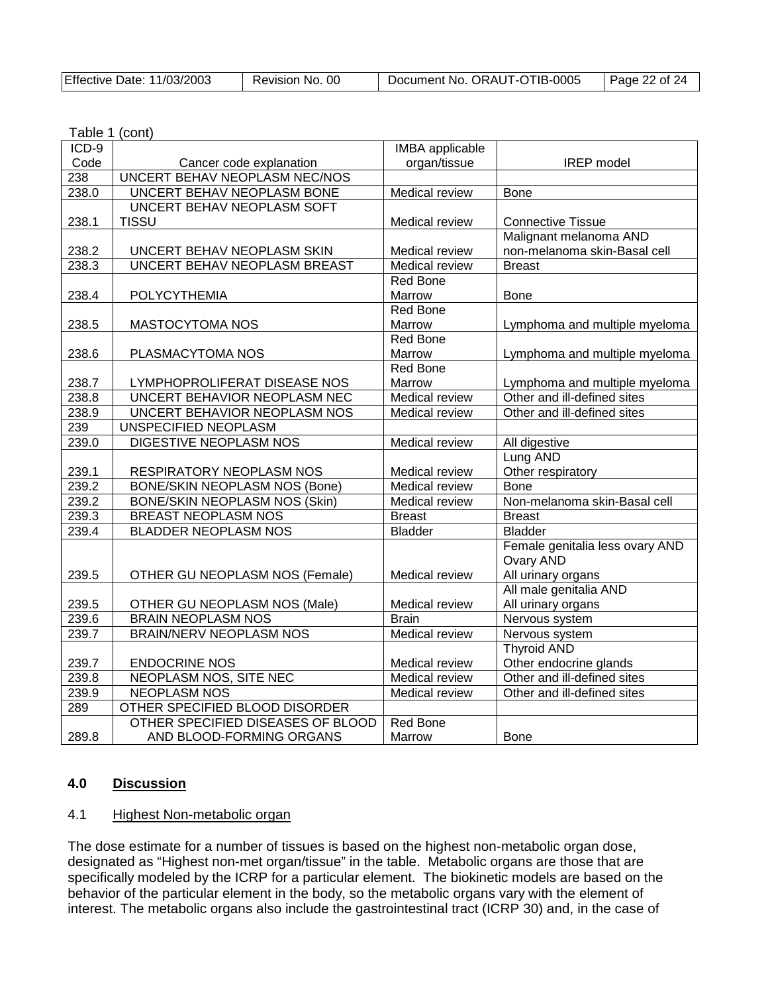| Document No. ORAUT-OTIB-0005 | Page 22 of 24 |
|------------------------------|---------------|
|                              |               |

| ICD-9 |                                      | <b>IMBA</b> applicable |                                 |
|-------|--------------------------------------|------------------------|---------------------------------|
| Code  | Cancer code explanation              | organ/tissue           | <b>IREP</b> model               |
| 238   | UNCERT BEHAV NEOPLASM NEC/NOS        |                        |                                 |
| 238.0 | UNCERT BEHAV NEOPLASM BONE           | Medical review         | <b>Bone</b>                     |
|       | UNCERT BEHAV NEOPLASM SOFT           |                        |                                 |
| 238.1 | <b>TISSU</b>                         | Medical review         | <b>Connective Tissue</b>        |
|       |                                      |                        | Malignant melanoma AND          |
| 238.2 | UNCERT BEHAV NEOPLASM SKIN           | Medical review         | non-melanoma skin-Basal cell    |
| 238.3 | UNCERT BEHAV NEOPLASM BREAST         | Medical review         | <b>Breast</b>                   |
|       |                                      | <b>Red Bone</b>        |                                 |
| 238.4 | <b>POLYCYTHEMIA</b>                  | Marrow                 | <b>Bone</b>                     |
|       |                                      | Red Bone               |                                 |
| 238.5 | <b>MASTOCYTOMA NOS</b>               | Marrow                 | Lymphoma and multiple myeloma   |
|       |                                      | Red Bone               |                                 |
| 238.6 | PLASMACYTOMA NOS                     | Marrow                 | Lymphoma and multiple myeloma   |
|       |                                      | <b>Red Bone</b>        |                                 |
| 238.7 | LYMPHOPROLIFERAT DISEASE NOS         | Marrow                 | Lymphoma and multiple myeloma   |
| 238.8 | UNCERT BEHAVIOR NEOPLASM NEC         | Medical review         | Other and ill-defined sites     |
| 238.9 | UNCERT BEHAVIOR NEOPLASM NOS         | Medical review         | Other and ill-defined sites     |
| 239   | UNSPECIFIED NEOPLASM                 |                        |                                 |
| 239.0 | DIGESTIVE NEOPLASM NOS               | Medical review         | All digestive                   |
|       |                                      |                        | Lung AND                        |
| 239.1 | RESPIRATORY NEOPLASM NOS             | Medical review         | Other respiratory               |
| 239.2 | <b>BONE/SKIN NEOPLASM NOS (Bone)</b> | Medical review         | <b>Bone</b>                     |
| 239.2 | <b>BONE/SKIN NEOPLASM NOS (Skin)</b> | Medical review         | Non-melanoma skin-Basal cell    |
| 239.3 | <b>BREAST NEOPLASM NOS</b>           | <b>Breast</b>          | <b>Breast</b>                   |
| 239.4 | <b>BLADDER NEOPLASM NOS</b>          | <b>Bladder</b>         | <b>Bladder</b>                  |
|       |                                      |                        | Female genitalia less ovary AND |
|       |                                      |                        | Ovary AND                       |
| 239.5 | OTHER GU NEOPLASM NOS (Female)       | Medical review         | All urinary organs              |
|       |                                      |                        | All male genitalia AND          |
| 239.5 | OTHER GU NEOPLASM NOS (Male)         | Medical review         | All urinary organs              |
| 239.6 | <b>BRAIN NEOPLASM NOS</b>            | <b>Brain</b>           | Nervous system                  |
| 239.7 | <b>BRAIN/NERV NEOPLASM NOS</b>       | Medical review         | Nervous system                  |
|       |                                      |                        | <b>Thyroid AND</b>              |
| 239.7 | <b>ENDOCRINE NOS</b>                 | Medical review         | Other endocrine glands          |
| 239.8 | <b>NEOPLASM NOS, SITE NEC</b>        | Medical review         | Other and ill-defined sites     |
| 239.9 | <b>NEOPLASM NOS</b>                  | Medical review         | Other and ill-defined sites     |
| 289   | OTHER SPECIFIED BLOOD DISORDER       |                        |                                 |
|       | OTHER SPECIFIED DISEASES OF BLOOD    | <b>Red Bone</b>        |                                 |
| 289.8 | AND BLOOD-FORMING ORGANS             | Marrow                 | <b>Bone</b>                     |

### **4.0 Discussion**

#### 4.1 Highest Non-metabolic organ

The dose estimate for a number of tissues is based on the highest non-metabolic organ dose, designated as "Highest non-met organ/tissue" in the table. Metabolic organs are those that are specifically modeled by the ICRP for a particular element. The biokinetic models are based on the behavior of the particular element in the body, so the metabolic organs vary with the element of interest. The metabolic organs also include the gastrointestinal tract (ICRP 30) and, in the case of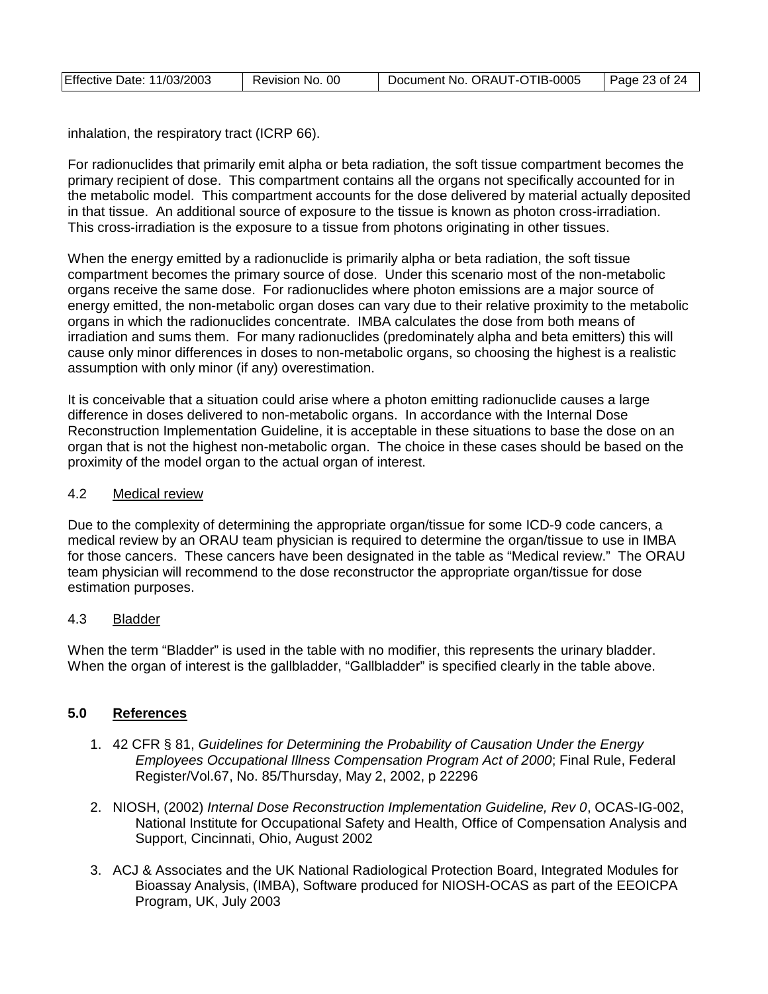| Effective Date: 11/03/2003 | Revision No. 00 | Document No. ORAUT-OTIB-0005 | Page 23 of 24 |
|----------------------------|-----------------|------------------------------|---------------|
|                            |                 |                              |               |

inhalation, the respiratory tract (ICRP 66).

For radionuclides that primarily emit alpha or beta radiation, the soft tissue compartment becomes the primary recipient of dose. This compartment contains all the organs not specifically accounted for in the metabolic model. This compartment accounts for the dose delivered by material actually deposited in that tissue. An additional source of exposure to the tissue is known as photon cross-irradiation. This cross-irradiation is the exposure to a tissue from photons originating in other tissues.

When the energy emitted by a radionuclide is primarily alpha or beta radiation, the soft tissue compartment becomes the primary source of dose. Under this scenario most of the non-metabolic organs receive the same dose. For radionuclides where photon emissions are a major source of energy emitted, the non-metabolic organ doses can vary due to their relative proximity to the metabolic organs in which the radionuclides concentrate. IMBA calculates the dose from both means of irradiation and sums them. For many radionuclides (predominately alpha and beta emitters) this will cause only minor differences in doses to non-metabolic organs, so choosing the highest is a realistic assumption with only minor (if any) overestimation.

It is conceivable that a situation could arise where a photon emitting radionuclide causes a large difference in doses delivered to non-metabolic organs. In accordance with the Internal Dose Reconstruction Implementation Guideline, it is acceptable in these situations to base the dose on an organ that is not the highest non-metabolic organ. The choice in these cases should be based on the proximity of the model organ to the actual organ of interest.

#### 4.2 Medical review

Due to the complexity of determining the appropriate organ/tissue for some ICD-9 code cancers, a medical review by an ORAU team physician is required to determine the organ/tissue to use in IMBA for those cancers. These cancers have been designated in the table as "Medical review." The ORAU team physician will recommend to the dose reconstructor the appropriate organ/tissue for dose estimation purposes.

#### 4.3 Bladder

When the term "Bladder" is used in the table with no modifier, this represents the urinary bladder. When the organ of interest is the gallbladder, "Gallbladder" is specified clearly in the table above.

#### **5.0 References**

- 1. 42 CFR § 81, *Guidelines for Determining the Probability of Causation Under the Energy Employees Occupational Illness Compensation Program Act of 2000*; Final Rule, Federal Register/Vol.67, No. 85/Thursday, May 2, 2002, p 22296
- 2. NIOSH, (2002) *Internal Dose Reconstruction Implementation Guideline, Rev 0*, OCAS-IG-002, National Institute for Occupational Safety and Health, Office of Compensation Analysis and Support, Cincinnati, Ohio, August 2002
- 3. ACJ & Associates and the UK National Radiological Protection Board, Integrated Modules for Bioassay Analysis, (IMBA), Software produced for NIOSH-OCAS as part of the EEOICPA Program, UK, July 2003